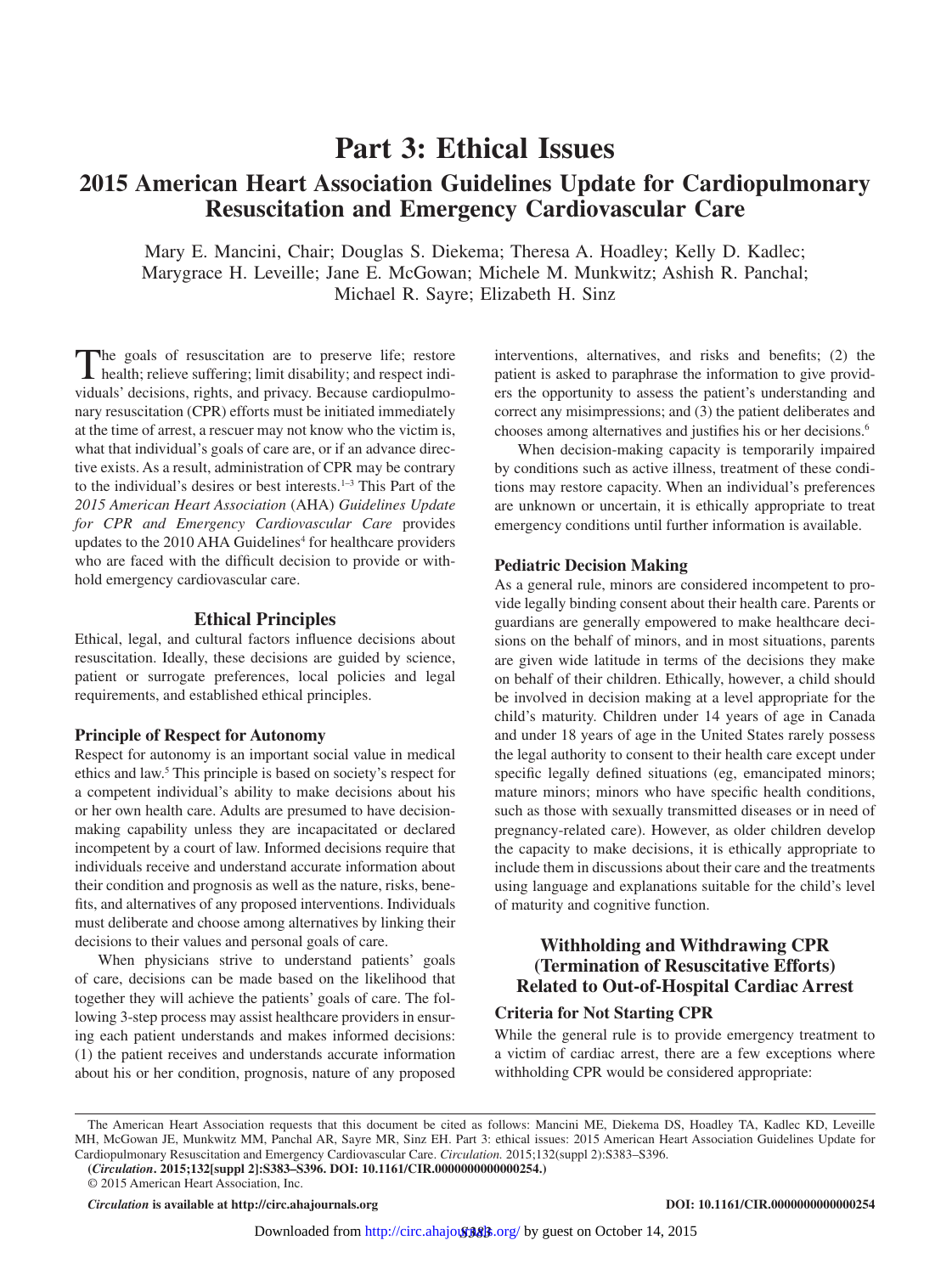# **Part 3: Ethical Issues**

## **2015 American Heart Association Guidelines Update for Cardiopulmonary Resuscitation and Emergency Cardiovascular Care**

Mary E. Mancini, Chair; Douglas S. Diekema; Theresa A. Hoadley; Kelly D. Kadlec; Marygrace H. Leveille; Jane E. McGowan; Michele M. Munkwitz; Ashish R. Panchal; Michael R. Sayre; Elizabeth H. Sinz

The goals of resuscitation are to preserve life; restore health; relieve suffering; limit disability; and respect individuals' decisions, rights, and privacy. Because cardiopulmonary resuscitation (CPR) efforts must be initiated immediately at the time of arrest, a rescuer may not know who the victim is, what that individual's goals of care are, or if an advance directive exists. As a result, administration of CPR may be contrary to the individual's desires or best interests.<sup>1-3</sup> This Part of the *2015 American Heart Association* (AHA) *Guidelines Update for CPR and Emergency Cardiovascular Care* provides updates to the 2010 AHA Guidelines<sup>4</sup> for healthcare providers who are faced with the difficult decision to provide or withhold emergency cardiovascular care.

### **Ethical Principles**

Ethical, legal, and cultural factors influence decisions about resuscitation. Ideally, these decisions are guided by science, patient or surrogate preferences, local policies and legal requirements, and established ethical principles.

### **Principle of Respect for Autonomy**

Respect for autonomy is an important social value in medical ethics and law.<sup>5</sup> This principle is based on society's respect for a competent individual's ability to make decisions about his or her own health care. Adults are presumed to have decisionmaking capability unless they are incapacitated or declared incompetent by a court of law. Informed decisions require that individuals receive and understand accurate information about their condition and prognosis as well as the nature, risks, benefits, and alternatives of any proposed interventions. Individuals must deliberate and choose among alternatives by linking their decisions to their values and personal goals of care.

When physicians strive to understand patients' goals of care, decisions can be made based on the likelihood that together they will achieve the patients' goals of care. The following 3-step process may assist healthcare providers in ensuring each patient understands and makes informed decisions: (1) the patient receives and understands accurate information about his or her condition, prognosis, nature of any proposed interventions, alternatives, and risks and benefits; (2) the patient is asked to paraphrase the information to give providers the opportunity to assess the patient's understanding and correct any misimpressions; and (3) the patient deliberates and chooses among alternatives and justifies his or her decisions.6

When decision-making capacity is temporarily impaired by conditions such as active illness, treatment of these conditions may restore capacity. When an individual's preferences are unknown or uncertain, it is ethically appropriate to treat emergency conditions until further information is available.

#### **Pediatric Decision Making**

As a general rule, minors are considered incompetent to provide legally binding consent about their health care. Parents or guardians are generally empowered to make healthcare decisions on the behalf of minors, and in most situations, parents are given wide latitude in terms of the decisions they make on behalf of their children. Ethically, however, a child should be involved in decision making at a level appropriate for the child's maturity. Children under 14 years of age in Canada and under 18 years of age in the United States rarely possess the legal authority to consent to their health care except under specific legally defined situations (eg, emancipated minors; mature minors; minors who have specific health conditions, such as those with sexually transmitted diseases or in need of pregnancy-related care). However, as older children develop the capacity to make decisions, it is ethically appropriate to include them in discussions about their care and the treatments using language and explanations suitable for the child's level of maturity and cognitive function.

### **Withholding and Withdrawing CPR (Termination of Resuscitative Efforts) Related to Out-of-Hospital Cardiac Arrest**

### **Criteria for Not Starting CPR**

While the general rule is to provide emergency treatment to a victim of cardiac arrest, there are a few exceptions where withholding CPR would be considered appropriate:

© 2015 American Heart Association, Inc.

*Circulation* **is available at http://circ.ahajournals.org DOI: 10.1161/CIR.0000000000000254**

The American Heart Association requests that this document be cited as follows: Mancini ME, Diekema DS, Hoadley TA, Kadlec KD, Leveille MH, McGowan JE, Munkwitz MM, Panchal AR, Sayre MR, Sinz EH. Part 3: ethical issues: 2015 American Heart Association Guidelines Update for Cardiopulmonary Resuscitation and Emergency Cardiovascular Care. *Circulation.* 2015;132(suppl 2):S383–S396.

**<sup>(</sup>***Circulation***. 2015;132[suppl 2]:S383–S396. DOI: 10.1161/CIR.0000000000000254.)**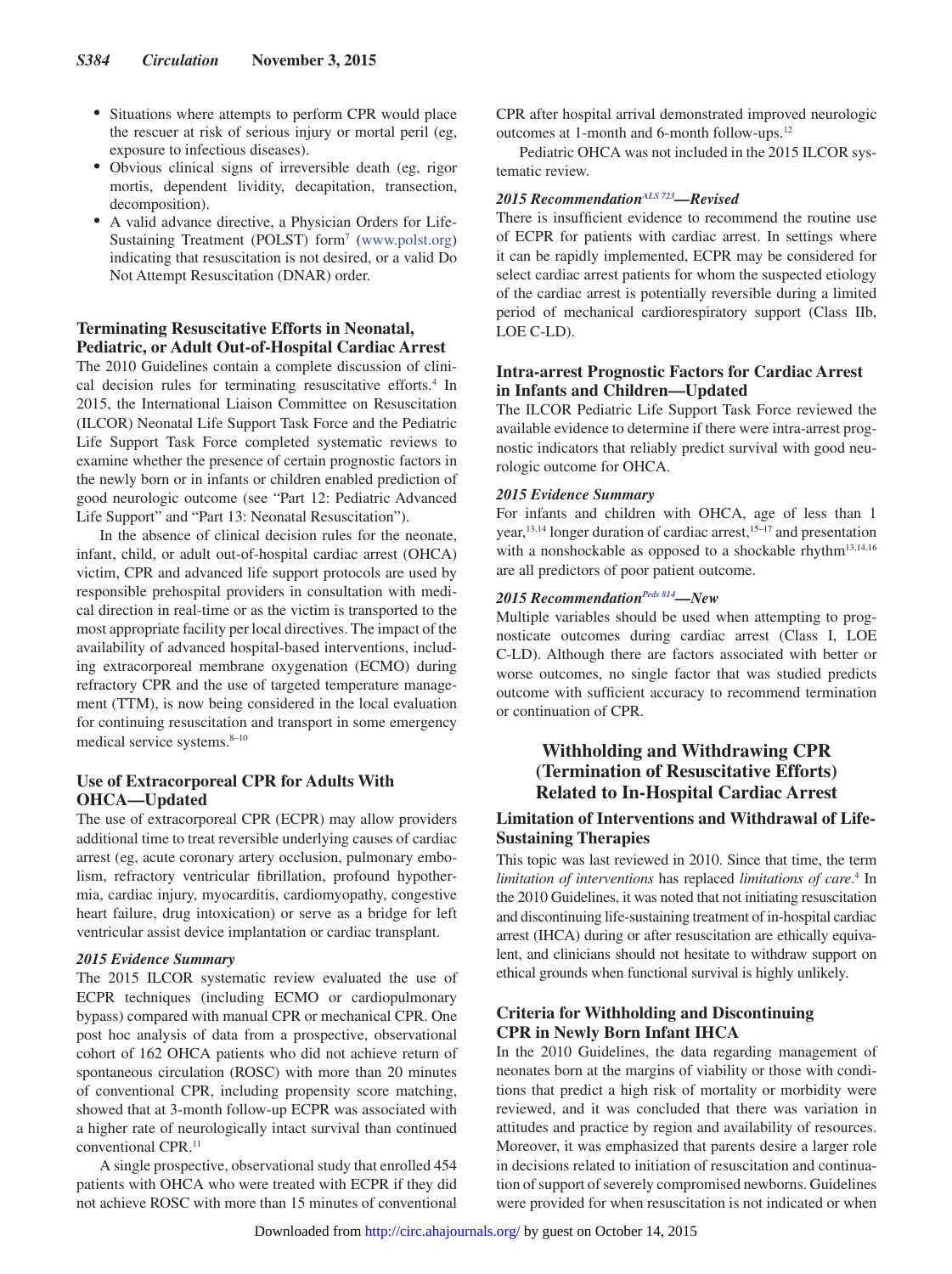- Situations where attempts to perform CPR would place the rescuer at risk of serious injury or mortal peril (eg, exposure to infectious diseases).
- • Obvious clinical signs of irreversible death (eg, rigor mortis, dependent lividity, decapitation, transection, decomposition).
- • A valid advance directive, a Physician Orders for Life-Sustaining Treatment (POLST) form<sup>7</sup> [\(www.polst.org\)](www.polst.org) indicating that resuscitation is not desired, or a valid Do Not Attempt Resuscitation (DNAR) order.

### **Terminating Resuscitative Efforts in Neonatal, Pediatric, or Adult Out-of-Hospital Cardiac Arrest**

The 2010 Guidelines contain a complete discussion of clinical decision rules for terminating resuscitative efforts.<sup>4</sup> In 2015, the International Liaison Committee on Resuscitation (ILCOR) Neonatal Life Support Task Force and the Pediatric Life Support Task Force completed systematic reviews to examine whether the presence of certain prognostic factors in the newly born or in infants or children enabled prediction of good neurologic outcome (see "Part 12: Pediatric Advanced Life Support" and "Part 13: Neonatal Resuscitation").

In the absence of clinical decision rules for the neonate, infant, child, or adult out-of-hospital cardiac arrest (OHCA) victim, CPR and advanced life support protocols are used by responsible prehospital providers in consultation with medical direction in real-time or as the victim is transported to the most appropriate facility per local directives. The impact of the availability of advanced hospital-based interventions, including extracorporeal membrane oxygenation (ECMO) during refractory CPR and the use of targeted temperature management (TTM), is now being considered in the local evaluation for continuing resuscitation and transport in some emergency medical service systems.8–10

### **Use of Extracorporeal CPR for Adults With OHCA—Updated**

The use of extracorporeal CPR (ECPR) may allow providers additional time to treat reversible underlying causes of cardiac arrest (eg, acute coronary artery occlusion, pulmonary embolism, refractory ventricular fibrillation, profound hypothermia, cardiac injury, myocarditis, cardiomyopathy, congestive heart failure, drug intoxication) or serve as a bridge for left ventricular assist device implantation or cardiac transplant.

### *2015 Evidence Summary*

The 2015 ILCOR systematic review evaluated the use of ECPR techniques (including ECMO or cardiopulmonary bypass) compared with manual CPR or mechanical CPR. One post hoc analysis of data from a prospective, observational cohort of 162 OHCA patients who did not achieve return of spontaneous circulation (ROSC) with more than 20 minutes of conventional CPR, including propensity score matching, showed that at 3-month follow-up ECPR was associated with a higher rate of neurologically intact survival than continued conventional CPR.11

A single prospective, observational study that enrolled 454 patients with OHCA who were treated with ECPR if they did not achieve ROSC with more than 15 minutes of conventional CPR after hospital arrival demonstrated improved neurologic outcomes at 1-month and 6-month follow-ups.12

Pediatric OHCA was not included in the 2015 ILCOR systematic review.

### *2015 Recommendation[ALS 723—](https://volunteer.heart.org/apps/pico/Pages/PublicComment.aspx?q=723)Revised*

There is insufficient evidence to recommend the routine use of ECPR for patients with cardiac arrest. In settings where it can be rapidly implemented, ECPR may be considered for select cardiac arrest patients for whom the suspected etiology of the cardiac arrest is potentially reversible during a limited period of mechanical cardiorespiratory support (Class IIb, LOE C-LD).

### **Intra-arrest Prognostic Factors for Cardiac Arrest in Infants and Children—Updated**

The ILCOR Pediatric Life Support Task Force reviewed the available evidence to determine if there were intra-arrest prognostic indicators that reliably predict survival with good neurologic outcome for OHCA.

#### *2015 Evidence Summary*

For infants and children with OHCA, age of less than 1 year,<sup>13,14</sup> longer duration of cardiac arrest, $15-17$  and presentation with a nonshockable as opposed to a shockable rhythm<sup>13,14,16</sup> are all predictors of poor patient outcome.

### *2015 Recommendation[Peds 814](https://volunteer.heart.org/apps/pico/Pages/PublicComment.aspx?q=814)—New*

Multiple variables should be used when attempting to prognosticate outcomes during cardiac arrest (Class I, LOE C-LD). Although there are factors associated with better or worse outcomes, no single factor that was studied predicts outcome with sufficient accuracy to recommend termination or continuation of CPR.

### **Withholding and Withdrawing CPR (Termination of Resuscitative Efforts) Related to In-Hospital Cardiac Arrest**

### **Limitation of Interventions and Withdrawal of Life-Sustaining Therapies**

This topic was last reviewed in 2010. Since that time, the term *limitation of interventions* has replaced *limitations of care*. 4 In the 2010 Guidelines, it was noted that not initiating resuscitation and discontinuing life-sustaining treatment of in-hospital cardiac arrest (IHCA) during or after resuscitation are ethically equivalent, and clinicians should not hesitate to withdraw support on ethical grounds when functional survival is highly unlikely.

### **Criteria for Withholding and Discontinuing CPR in Newly Born Infant IHCA**

In the 2010 Guidelines, the data regarding management of neonates born at the margins of viability or those with conditions that predict a high risk of mortality or morbidity were reviewed, and it was concluded that there was variation in attitudes and practice by region and availability of resources. Moreover, it was emphasized that parents desire a larger role in decisions related to initiation of resuscitation and continuation of support of severely compromised newborns. Guidelines were provided for when resuscitation is not indicated or when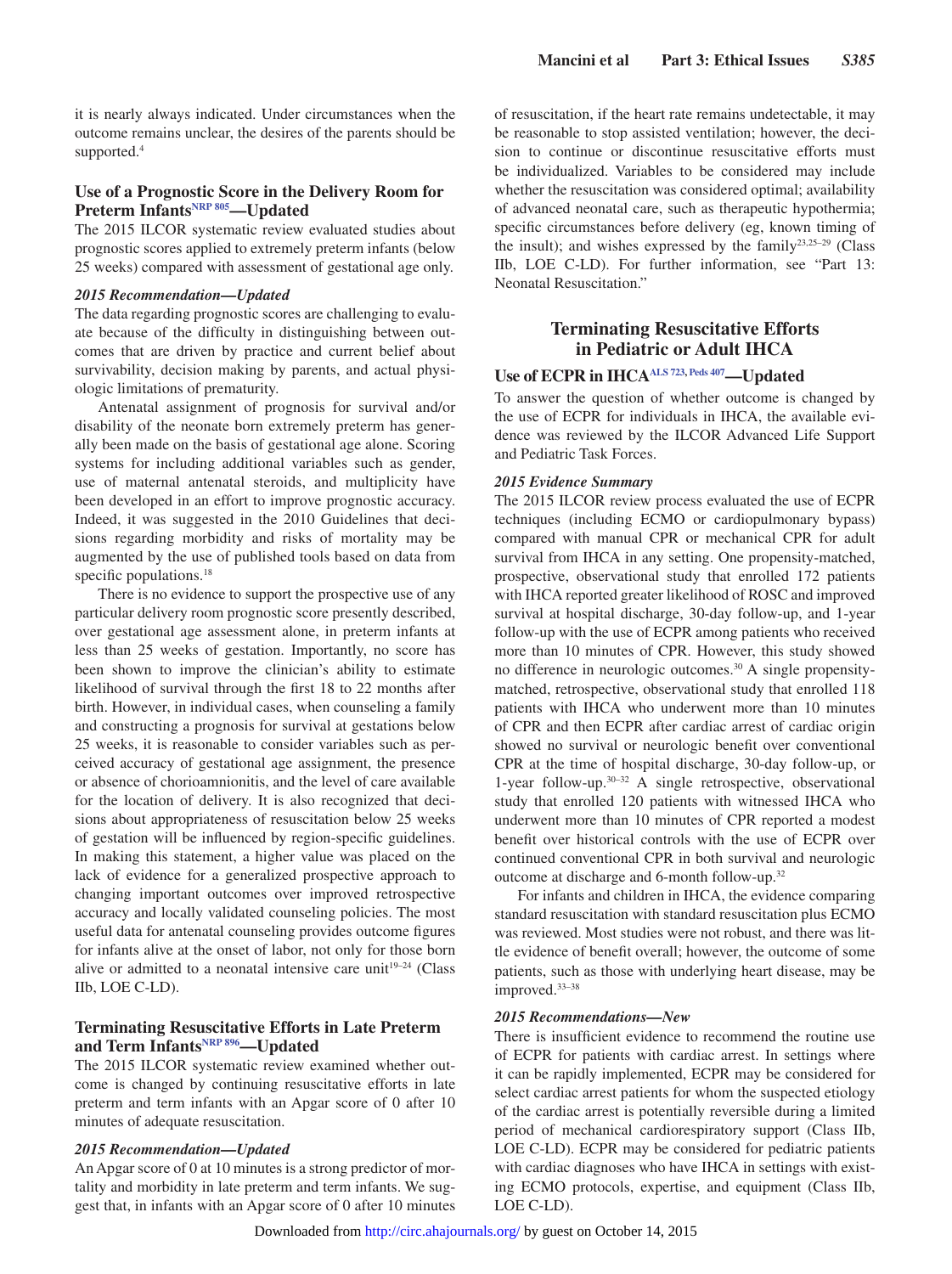it is nearly always indicated. Under circumstances when the outcome remains unclear, the desires of the parents should be supported.<sup>4</sup>

#### **Use of a Prognostic Score in the Delivery Room for Preterm Infants[NRP 805](https://volunteer.heart.org/apps/pico/Pages/PublicComment.aspx?q=805)—Updated**

The 2015 ILCOR systematic review evaluated studies about prognostic scores applied to extremely preterm infants (below 25 weeks) compared with assessment of gestational age only.

#### *2015 Recommendation—Updated*

The data regarding prognostic scores are challenging to evaluate because of the difficulty in distinguishing between outcomes that are driven by practice and current belief about survivability, decision making by parents, and actual physiologic limitations of prematurity.

Antenatal assignment of prognosis for survival and/or disability of the neonate born extremely preterm has generally been made on the basis of gestational age alone. Scoring systems for including additional variables such as gender, use of maternal antenatal steroids, and multiplicity have been developed in an effort to improve prognostic accuracy. Indeed, it was suggested in the 2010 Guidelines that decisions regarding morbidity and risks of mortality may be augmented by the use of published tools based on data from specific populations. $18$ 

There is no evidence to support the prospective use of any particular delivery room prognostic score presently described, over gestational age assessment alone, in preterm infants at less than 25 weeks of gestation. Importantly, no score has been shown to improve the clinician's ability to estimate likelihood of survival through the first 18 to 22 months after birth. However, in individual cases, when counseling a family and constructing a prognosis for survival at gestations below 25 weeks, it is reasonable to consider variables such as perceived accuracy of gestational age assignment, the presence or absence of chorioamnionitis, and the level of care available for the location of delivery. It is also recognized that decisions about appropriateness of resuscitation below 25 weeks of gestation will be influenced by region-specific guidelines. In making this statement, a higher value was placed on the lack of evidence for a generalized prospective approach to changing important outcomes over improved retrospective accuracy and locally validated counseling policies. The most useful data for antenatal counseling provides outcome figures for infants alive at the onset of labor, not only for those born alive or admitted to a neonatal intensive care unit<sup>19–24</sup> (Class IIb, LOE C-LD).

### **Terminating Resuscitative Efforts in Late Preterm and Term Infant[sNRP 896](https://volunteer.heart.org/apps/pico/Pages/PublicComment.aspx?q=896)—Updated**

The 2015 ILCOR systematic review examined whether outcome is changed by continuing resuscitative efforts in late preterm and term infants with an Apgar score of 0 after 10 minutes of adequate resuscitation.

#### *2015 Recommendation—Updated*

An Apgar score of 0 at 10 minutes is a strong predictor of mortality and morbidity in late preterm and term infants. We suggest that, in infants with an Apgar score of 0 after 10 minutes of resuscitation, if the heart rate remains undetectable, it may be reasonable to stop assisted ventilation; however, the decision to continue or discontinue resuscitative efforts must be individualized. Variables to be considered may include whether the resuscitation was considered optimal; availability of advanced neonatal care, such as therapeutic hypothermia; specific circumstances before delivery (eg, known timing of the insult); and wishes expressed by the family<sup>23,25–29</sup> (Class IIb, LOE C-LD). For further information, see "Part 13: Neonatal Resuscitation."

### **Terminating Resuscitative Efforts in Pediatric or Adult IHCA**

#### **Use of ECPR in IHC[AALS 723,](https://volunteer.heart.org/apps/pico/Pages/PublicComment.aspx?q=723) [Peds 407—](https://volunteer.heart.org/apps/pico/Pages/PublicComment.aspx?q=407)Updated**

To answer the question of whether outcome is changed by the use of ECPR for individuals in IHCA, the available evidence was reviewed by the ILCOR Advanced Life Support and Pediatric Task Forces.

#### *2015 Evidence Summary*

The 2015 ILCOR review process evaluated the use of ECPR techniques (including ECMO or cardiopulmonary bypass) compared with manual CPR or mechanical CPR for adult survival from IHCA in any setting. One propensity-matched, prospective, observational study that enrolled 172 patients with IHCA reported greater likelihood of ROSC and improved survival at hospital discharge, 30-day follow-up, and 1-year follow-up with the use of ECPR among patients who received more than 10 minutes of CPR. However, this study showed no difference in neurologic outcomes.30 A single propensitymatched, retrospective, observational study that enrolled 118 patients with IHCA who underwent more than 10 minutes of CPR and then ECPR after cardiac arrest of cardiac origin showed no survival or neurologic benefit over conventional CPR at the time of hospital discharge, 30-day follow-up, or 1-year follow-up.30–32 A single retrospective, observational study that enrolled 120 patients with witnessed IHCA who underwent more than 10 minutes of CPR reported a modest benefit over historical controls with the use of ECPR over continued conventional CPR in both survival and neurologic outcome at discharge and 6-month follow-up.32

For infants and children in IHCA, the evidence comparing standard resuscitation with standard resuscitation plus ECMO was reviewed. Most studies were not robust, and there was little evidence of benefit overall; however, the outcome of some patients, such as those with underlying heart disease, may be improved.33–38

#### *2015 Recommendations—New*

There is insufficient evidence to recommend the routine use of ECPR for patients with cardiac arrest. In settings where it can be rapidly implemented, ECPR may be considered for select cardiac arrest patients for whom the suspected etiology of the cardiac arrest is potentially reversible during a limited period of mechanical cardiorespiratory support (Class IIb, LOE C-LD). ECPR may be considered for pediatric patients with cardiac diagnoses who have IHCA in settings with existing ECMO protocols, expertise, and equipment (Class IIb, LOE C-LD).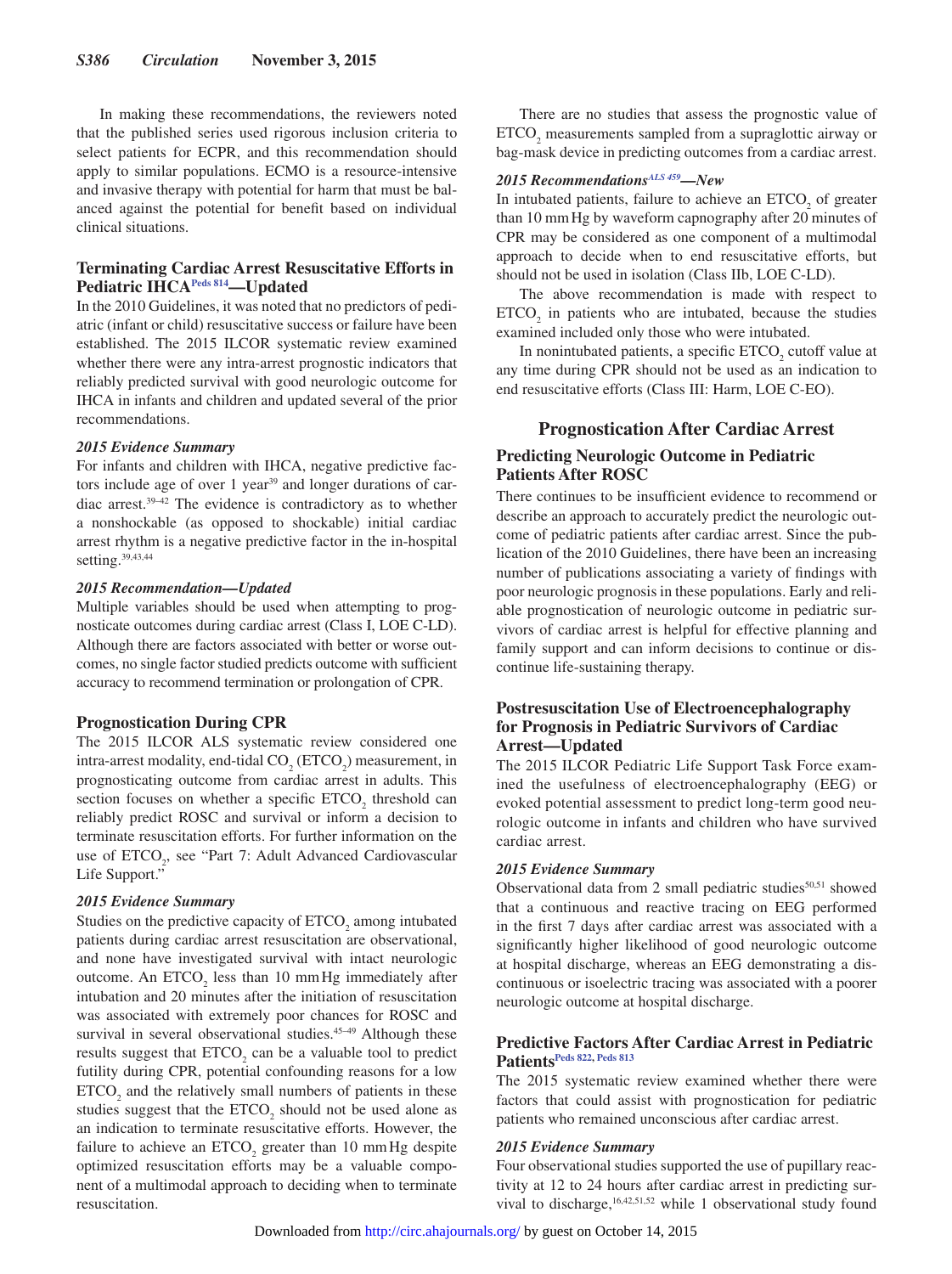In making these recommendations, the reviewers noted that the published series used rigorous inclusion criteria to select patients for ECPR, and this recommendation should apply to similar populations. ECMO is a resource-intensive and invasive therapy with potential for harm that must be balanced against the potential for benefit based on individual clinical situations.

### **Terminating Cardiac Arrest Resuscitative Efforts in Pediatric IHCA[Peds 814](https://volunteer.heart.org/apps/pico/Pages/PublicComment.aspx?q=814)—Updated**

In the 2010 Guidelines, it was noted that no predictors of pediatric (infant or child) resuscitative success or failure have been established. The 2015 ILCOR systematic review examined whether there were any intra-arrest prognostic indicators that reliably predicted survival with good neurologic outcome for IHCA in infants and children and updated several of the prior recommendations.

#### *2015 Evidence Summary*

For infants and children with IHCA, negative predictive factors include age of over  $1$  year<sup>39</sup> and longer durations of cardiac arrest.39–42 The evidence is contradictory as to whether a nonshockable (as opposed to shockable) initial cardiac arrest rhythm is a negative predictive factor in the in-hospital setting.39,43,44

#### *2015 Recommendation—Updated*

Multiple variables should be used when attempting to prognosticate outcomes during cardiac arrest (Class I, LOE C-LD). Although there are factors associated with better or worse outcomes, no single factor studied predicts outcome with sufficient accuracy to recommend termination or prolongation of CPR.

#### **Prognostication During CPR**

The 2015 ILCOR ALS systematic review considered one intra-arrest modality, end-tidal  $\mathrm{CO}_2\times \mathrm{FTCO}_2$ ) measurement, in prognosticating outcome from cardiac arrest in adults. This section focuses on whether a specific  $ETCO<sub>2</sub>$  threshold can reliably predict ROSC and survival or inform a decision to terminate resuscitation efforts. For further information on the use of ETCO<sub>2</sub>, see "Part 7: Adult Advanced Cardiovascular Life Support."

#### *2015 Evidence Summary*

Studies on the predictive capacity of  $\text{ETCO}_2$  among intubated patients during cardiac arrest resuscitation are observational, and none have investigated survival with intact neurologic outcome. An  $ETCO<sub>2</sub>$  less than 10 mmHg immediately after intubation and 20 minutes after the initiation of resuscitation was associated with extremely poor chances for ROSC and survival in several observational studies.<sup>45-49</sup> Although these results suggest that  $ETCO<sub>2</sub>$  can be a valuable tool to predict futility during CPR, potential confounding reasons for a low  $ETCO<sub>2</sub>$  and the relatively small numbers of patients in these studies suggest that the  $ETCO<sub>2</sub>$  should not be used alone as an indication to terminate resuscitative efforts. However, the failure to achieve an  $ETCO<sub>2</sub>$  greater than 10 mm Hg despite optimized resuscitation efforts may be a valuable component of a multimodal approach to deciding when to terminate resuscitation.

There are no studies that assess the prognostic value of  $ETCO<sub>2</sub>$  measurements sampled from a supraglottic airway or bag-mask device in predicting outcomes from a cardiac arrest.

### *2015 Recommendations[ALS 459—](https://volunteer.heart.org/apps/pico/Pages/PublicComment.aspx?q=459)New*

In intubated patients, failure to achieve an  $ETCO<sub>2</sub>$  of greater than 10 mmHg by waveform capnography after 20 minutes of CPR may be considered as one component of a multimodal approach to decide when to end resuscitative efforts, but should not be used in isolation (Class IIb, LOE C-LD).

The above recommendation is made with respect to  $ETCO<sub>2</sub>$  in patients who are intubated, because the studies examined included only those who were intubated.

In nonintubated patients, a specific  $\text{ETCO}_2$  cutoff value at any time during CPR should not be used as an indication to end resuscitative efforts (Class III: Harm, LOE C-EO).

### **Prognostication After Cardiac Arrest**

### **Predicting Neurologic Outcome in Pediatric Patients After ROSC**

There continues to be insufficient evidence to recommend or describe an approach to accurately predict the neurologic outcome of pediatric patients after cardiac arrest. Since the publication of the 2010 Guidelines, there have been an increasing number of publications associating a variety of findings with poor neurologic prognosis in these populations. Early and reliable prognostication of neurologic outcome in pediatric survivors of cardiac arrest is helpful for effective planning and family support and can inform decisions to continue or discontinue life-sustaining therapy.

### **Postresuscitation Use of Electroencephalography for Prognosis in Pediatric Survivors of Cardiac Arrest—Updated**

The 2015 ILCOR Pediatric Life Support Task Force examined the usefulness of electroencephalography (EEG) or evoked potential assessment to predict long-term good neurologic outcome in infants and children who have survived cardiac arrest.

#### *2015 Evidence Summary*

Observational data from 2 small pediatric studies<sup>50,51</sup> showed that a continuous and reactive tracing on EEG performed in the first 7 days after cardiac arrest was associated with a significantly higher likelihood of good neurologic outcome at hospital discharge, whereas an EEG demonstrating a discontinuous or isoelectric tracing was associated with a poorer neurologic outcome at hospital discharge.

#### **Predictive Factors After Cardiac Arrest in Pediatric Patient[sPeds 822,](https://volunteer.heart.org/apps/pico/Pages/PublicComment.aspx?q=822) [Peds 813](https://volunteer.heart.org/apps/pico/Pages/PublicComment.aspx?q=813)**

The 2015 systematic review examined whether there were factors that could assist with prognostication for pediatric patients who remained unconscious after cardiac arrest.

#### *2015 Evidence Summary*

Four observational studies supported the use of pupillary reactivity at 12 to 24 hours after cardiac arrest in predicting survival to discharge,<sup>16,42,51,52</sup> while 1 observational study found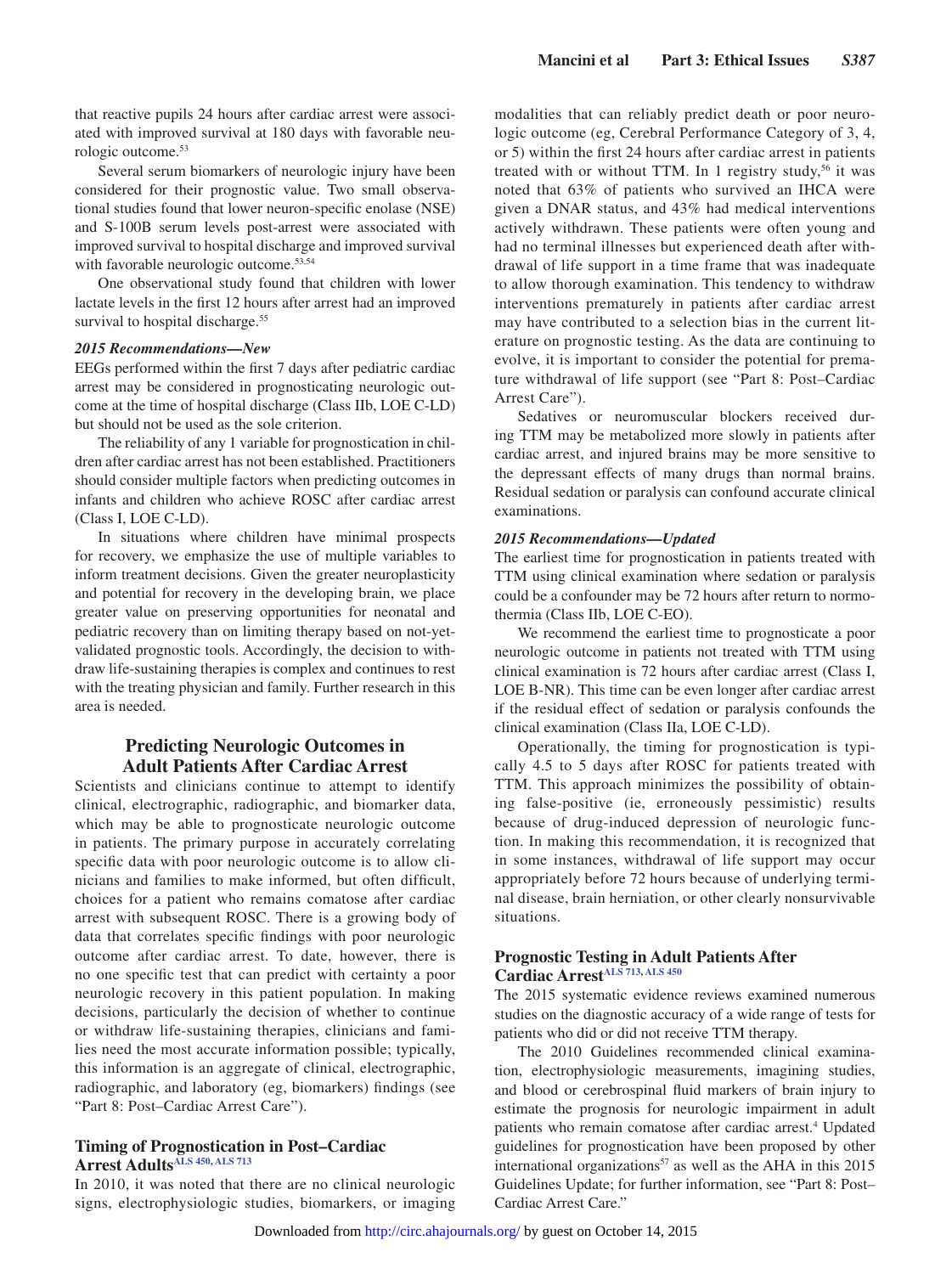that reactive pupils 24 hours after cardiac arrest were associated with improved survival at 180 days with favorable neurologic outcome.<sup>53</sup>

Several serum biomarkers of neurologic injury have been considered for their prognostic value. Two small observational studies found that lower neuron-specific enolase (NSE) and S-100B serum levels post-arrest were associated with improved survival to hospital discharge and improved survival with favorable neurologic outcome.<sup>53,54</sup>

One observational study found that children with lower lactate levels in the first 12 hours after arrest had an improved survival to hospital discharge.<sup>55</sup>

#### *2015 Recommendations—New*

EEGs performed within the first 7 days after pediatric cardiac arrest may be considered in prognosticating neurologic outcome at the time of hospital discharge (Class IIb, LOE C-LD) but should not be used as the sole criterion.

The reliability of any 1 variable for prognostication in children after cardiac arrest has not been established. Practitioners should consider multiple factors when predicting outcomes in infants and children who achieve ROSC after cardiac arrest (Class I, LOE C-LD).

In situations where children have minimal prospects for recovery, we emphasize the use of multiple variables to inform treatment decisions. Given the greater neuroplasticity and potential for recovery in the developing brain, we place greater value on preserving opportunities for neonatal and pediatric recovery than on limiting therapy based on not-yetvalidated prognostic tools. Accordingly, the decision to withdraw life-sustaining therapies is complex and continues to rest with the treating physician and family. Further research in this area is needed.

### **Predicting Neurologic Outcomes in Adult Patients After Cardiac Arrest**

Scientists and clinicians continue to attempt to identify clinical, electrographic, radiographic, and biomarker data, which may be able to prognosticate neurologic outcome in patients. The primary purpose in accurately correlating specific data with poor neurologic outcome is to allow clinicians and families to make informed, but often difficult, choices for a patient who remains comatose after cardiac arrest with subsequent ROSC. There is a growing body of data that correlates specific findings with poor neurologic outcome after cardiac arrest. To date, however, there is no one specific test that can predict with certainty a poor neurologic recovery in this patient population. In making decisions, particularly the decision of whether to continue or withdraw life-sustaining therapies, clinicians and families need the most accurate information possible; typically, this information is an aggregate of clinical, electrographic, radiographic, and laboratory (eg, biomarkers) findings (see "Part 8: Post–Cardiac Arrest Care").

#### **Timing of Prognostication in Post–Cardiac Arrest Adults[ALS 450](https://volunteer.heart.org/apps/pico/Pages/PublicComment.aspx?q=450), [ALS 713](https://volunteer.heart.org/apps/pico/Pages/PublicComment.aspx?q=713)**

In 2010, it was noted that there are no clinical neurologic signs, electrophysiologic studies, biomarkers, or imaging modalities that can reliably predict death or poor neurologic outcome (eg, Cerebral Performance Category of 3, 4, or 5) within the first 24 hours after cardiac arrest in patients treated with or without TTM. In 1 registry study,<sup>56</sup> it was noted that 63% of patients who survived an IHCA were given a DNAR status, and 43% had medical interventions actively withdrawn. These patients were often young and had no terminal illnesses but experienced death after withdrawal of life support in a time frame that was inadequate to allow thorough examination. This tendency to withdraw interventions prematurely in patients after cardiac arrest may have contributed to a selection bias in the current literature on prognostic testing. As the data are continuing to evolve, it is important to consider the potential for premature withdrawal of life support (see "Part 8: Post–Cardiac Arrest Care").

Sedatives or neuromuscular blockers received during TTM may be metabolized more slowly in patients after cardiac arrest, and injured brains may be more sensitive to the depressant effects of many drugs than normal brains. Residual sedation or paralysis can confound accurate clinical examinations.

#### *2015 Recommendations—Updated*

The earliest time for prognostication in patients treated with TTM using clinical examination where sedation or paralysis could be a confounder may be 72 hours after return to normothermia (Class IIb, LOE C-EO).

We recommend the earliest time to prognosticate a poor neurologic outcome in patients not treated with TTM using clinical examination is 72 hours after cardiac arrest (Class I, LOE B-NR). This time can be even longer after cardiac arrest if the residual effect of sedation or paralysis confounds the clinical examination (Class IIa, LOE C-LD).

Operationally, the timing for prognostication is typically 4.5 to 5 days after ROSC for patients treated with TTM. This approach minimizes the possibility of obtaining false-positive (ie, erroneously pessimistic) results because of drug-induced depression of neurologic function. In making this recommendation, it is recognized that in some instances, withdrawal of life support may occur appropriately before 72 hours because of underlying terminal disease, brain herniation, or other clearly nonsurvivable situations.

### **Prognostic Testing in Adult Patients After Cardiac Arres[tALS 713,](https://volunteer.heart.org/apps/pico/Pages/PublicComment.aspx?q=713) [ALS 450](https://volunteer.heart.org/apps/pico/Pages/PublicComment.aspx?q=450)**

The 2015 systematic evidence reviews examined numerous studies on the diagnostic accuracy of a wide range of tests for patients who did or did not receive TTM therapy.

The 2010 Guidelines recommended clinical examination, electrophysiologic measurements, imagining studies, and blood or cerebrospinal fluid markers of brain injury to estimate the prognosis for neurologic impairment in adult patients who remain comatose after cardiac arrest.4 Updated guidelines for prognostication have been proposed by other international organizations<sup>57</sup> as well as the AHA in this  $2015$ Guidelines Update; for further information, see "Part 8: Post– Cardiac Arrest Care."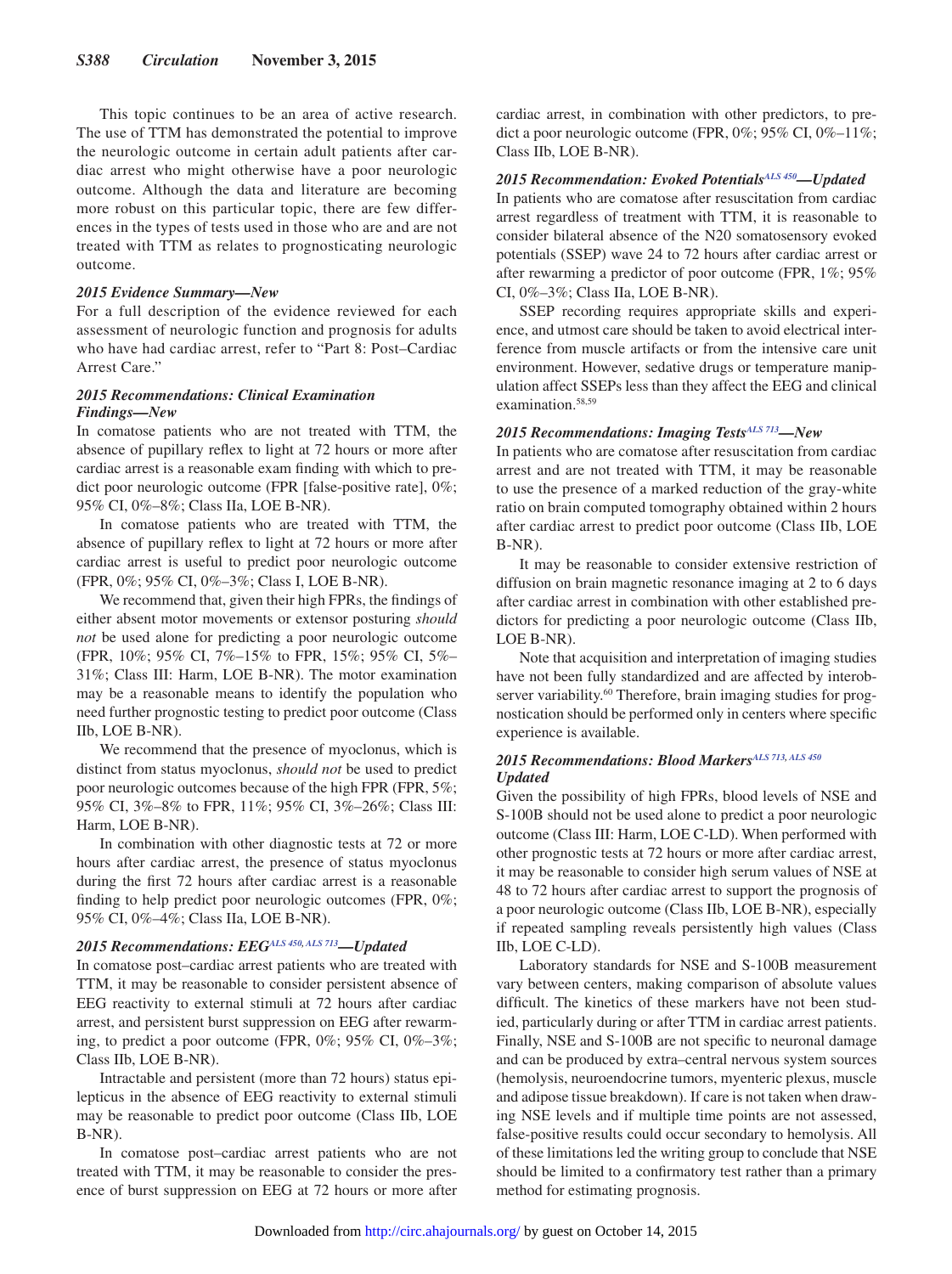This topic continues to be an area of active research. The use of TTM has demonstrated the potential to improve the neurologic outcome in certain adult patients after cardiac arrest who might otherwise have a poor neurologic outcome. Although the data and literature are becoming more robust on this particular topic, there are few differences in the types of tests used in those who are and are not treated with TTM as relates to prognosticating neurologic outcome.

#### *2015 Evidence Summary—New*

For a full description of the evidence reviewed for each assessment of neurologic function and prognosis for adults who have had cardiac arrest, refer to "Part 8: Post–Cardiac Arrest Care."

### *2015 Recommendations: Clinical Examination Findings—New*

In comatose patients who are not treated with TTM, the absence of pupillary reflex to light at 72 hours or more after cardiac arrest is a reasonable exam finding with which to predict poor neurologic outcome (FPR [false-positive rate], 0%; 95% CI, 0%–8%; Class IIa, LOE B-NR).

In comatose patients who are treated with TTM, the absence of pupillary reflex to light at 72 hours or more after cardiac arrest is useful to predict poor neurologic outcome (FPR, 0%; 95% CI, 0%–3%; Class I, LOE B-NR).

We recommend that, given their high FPRs, the findings of either absent motor movements or extensor posturing *should not* be used alone for predicting a poor neurologic outcome (FPR, 10%; 95% CI, 7%–15% to FPR, 15%; 95% CI, 5%– 31%; Class III: Harm, LOE B-NR). The motor examination may be a reasonable means to identify the population who need further prognostic testing to predict poor outcome (Class IIb, LOE B-NR).

We recommend that the presence of myoclonus, which is distinct from status myoclonus, *should not* be used to predict poor neurologic outcomes because of the high FPR (FPR, 5%; 95% CI, 3%–8% to FPR, 11%; 95% CI, 3%–26%; Class III: Harm, LOE B-NR).

In combination with other diagnostic tests at 72 or more hours after cardiac arrest, the presence of status myoclonus during the first 72 hours after cardiac arrest is a reasonable finding to help predict poor neurologic outcomes (FPR, 0%; 95% CI, 0%–4%; Class IIa, LOE B-NR).

### *2015 Recommendations: EEG[ALS 450,](https://volunteer.heart.org/apps/pico/Pages/PublicComment.aspx?q=450) [ALS 713](https://volunteer.heart.org/apps/pico/Pages/PublicComment.aspx?q=713)—Updated*

In comatose post–cardiac arrest patients who are treated with TTM, it may be reasonable to consider persistent absence of EEG reactivity to external stimuli at 72 hours after cardiac arrest, and persistent burst suppression on EEG after rewarming, to predict a poor outcome (FPR, 0%; 95% CI, 0%–3%; Class IIb, LOE B-NR).

Intractable and persistent (more than 72 hours) status epilepticus in the absence of EEG reactivity to external stimuli may be reasonable to predict poor outcome (Class IIb, LOE B-NR).

In comatose post–cardiac arrest patients who are not treated with TTM, it may be reasonable to consider the presence of burst suppression on EEG at 72 hours or more after cardiac arrest, in combination with other predictors, to predict a poor neurologic outcome (FPR, 0%; 95% CI, 0%-11%; Class IIb, LOE B-NR).

#### 2015 Recommendation: Evoked Potential<sup>*ALS 450*-Updated</sup>

In patients who are comatose after resuscitation from cardiac arrest regardless of treatment with TTM, it is reasonable to consider bilateral absence of the N20 somatosensory evoked potentials (SSEP) wave 24 to 72 hours after cardiac arrest or after rewarming a predictor of poor outcome (FPR, 1%; 95% CI, 0%–3%; Class IIa, LOE B-NR).

SSEP recording requires appropriate skills and experience, and utmost care should be taken to avoid electrical interference from muscle artifacts or from the intensive care unit environment. However, sedative drugs or temperature manipulation affect SSEPs less than they affect the EEG and clinical examination.58,59

### *2015 Recommendations: Imaging Test[sALS 713—](https://volunteer.heart.org/apps/pico/Pages/PublicComment.aspx?q=713)New*

In patients who are comatose after resuscitation from cardiac arrest and are not treated with TTM, it may be reasonable to use the presence of a marked reduction of the gray-white ratio on brain computed tomography obtained within 2 hours after cardiac arrest to predict poor outcome (Class IIb, LOE B-NR).

It may be reasonable to consider extensive restriction of diffusion on brain magnetic resonance imaging at 2 to 6 days after cardiac arrest in combination with other established predictors for predicting a poor neurologic outcome (Class IIb, LOE B-NR).

Note that acquisition and interpretation of imaging studies have not been fully standardized and are affected by interobserver variability.<sup>60</sup> Therefore, brain imaging studies for prognostication should be performed only in centers where specific experience is available.

#### *2015 Recommendations: Blood Markers[ALS 713,](https://volunteer.heart.org/apps/pico/Pages/PublicComment.aspx?q=713) [ALS 450](https://volunteer.heart.org/apps/pico/Pages/PublicComment.aspx?q=450) Updated*

Given the possibility of high FPRs, blood levels of NSE and S-100B should not be used alone to predict a poor neurologic outcome (Class III: Harm, LOE C-LD). When performed with other prognostic tests at 72 hours or more after cardiac arrest, it may be reasonable to consider high serum values of NSE at 48 to 72 hours after cardiac arrest to support the prognosis of a poor neurologic outcome (Class IIb, LOE B-NR), especially if repeated sampling reveals persistently high values (Class IIb, LOE C-LD).

Laboratory standards for NSE and S-100B measurement vary between centers, making comparison of absolute values difficult. The kinetics of these markers have not been studied, particularly during or after TTM in cardiac arrest patients. Finally, NSE and S-100B are not specific to neuronal damage and can be produced by extra–central nervous system sources (hemolysis, neuroendocrine tumors, myenteric plexus, muscle and adipose tissue breakdown). If care is not taken when drawing NSE levels and if multiple time points are not assessed, false-positive results could occur secondary to hemolysis. All of these limitations led the writing group to conclude that NSE should be limited to a confirmatory test rather than a primary method for estimating prognosis.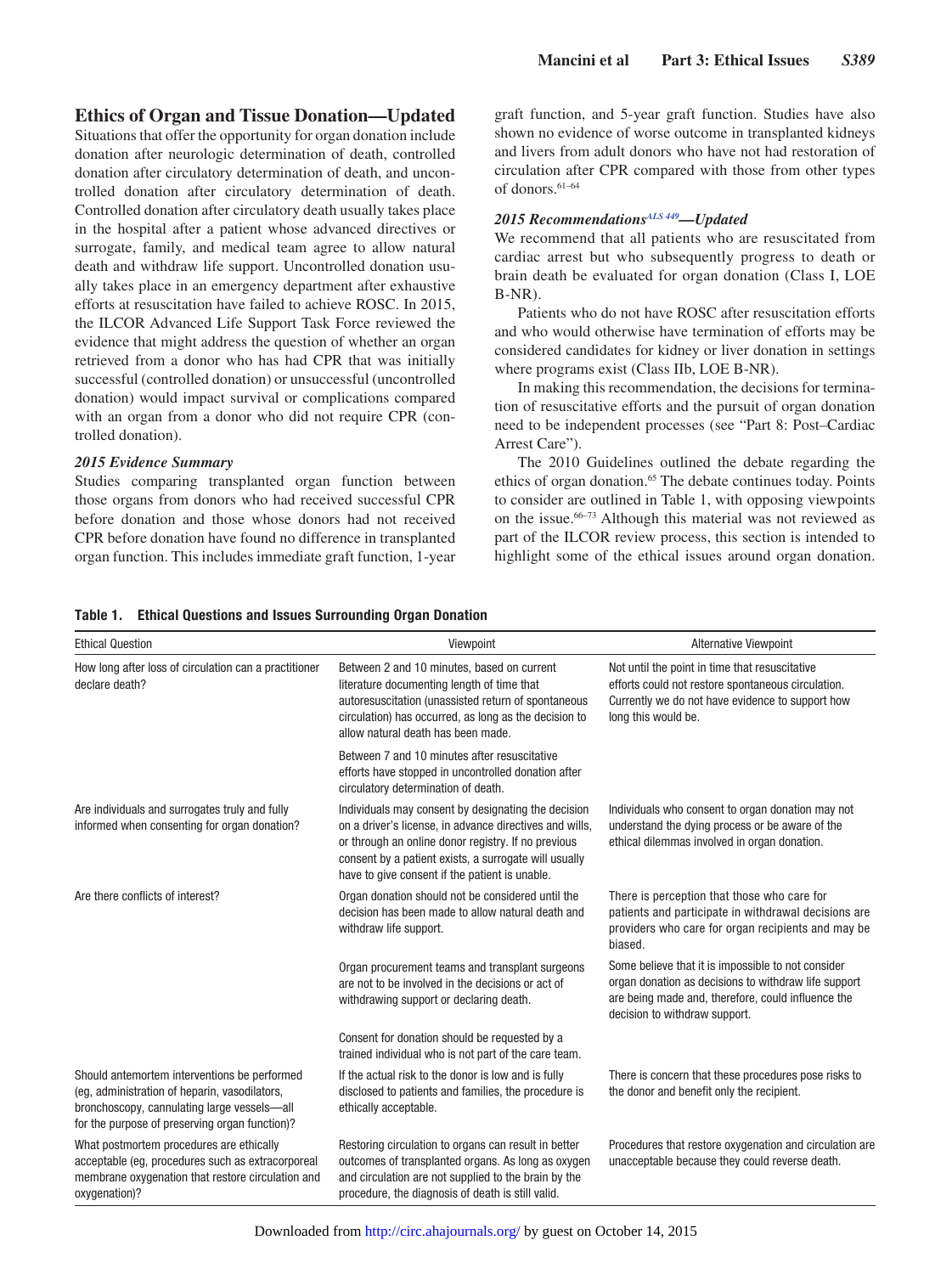### **Ethics of Organ and Tissue Donation—Updated**

Situations that offer the opportunity for organ donation include donation after neurologic determination of death, controlled donation after circulatory determination of death, and uncontrolled donation after circulatory determination of death. Controlled donation after circulatory death usually takes place in the hospital after a patient whose advanced directives or surrogate, family, and medical team agree to allow natural death and withdraw life support. Uncontrolled donation usually takes place in an emergency department after exhaustive efforts at resuscitation have failed to achieve ROSC. In 2015, the ILCOR Advanced Life Support Task Force reviewed the evidence that might address the question of whether an organ retrieved from a donor who has had CPR that was initially successful (controlled donation) or unsuccessful (uncontrolled donation) would impact survival or complications compared with an organ from a donor who did not require CPR (controlled donation).

#### *2015 Evidence Summary*

Studies comparing transplanted organ function between those organs from donors who had received successful CPR before donation and those whose donors had not received CPR before donation have found no difference in transplanted organ function. This includes immediate graft function, 1-year graft function, and 5-year graft function. Studies have also shown no evidence of worse outcome in transplanted kidneys and livers from adult donors who have not had restoration of circulation after CPR compared with those from other types of donors.<sup>61-64</sup>

#### *2015 Recommendations[ALS 449—](https://volunteer.heart.org/apps/pico/Pages/PublicComment.aspx?q=449)Updated*

We recommend that all patients who are resuscitated from cardiac arrest but who subsequently progress to death or brain death be evaluated for organ donation (Class I, LOE B-NR).

Patients who do not have ROSC after resuscitation efforts and who would otherwise have termination of efforts may be considered candidates for kidney or liver donation in settings where programs exist (Class IIb, LOE B-NR).

In making this recommendation, the decisions for termination of resuscitative efforts and the pursuit of organ donation need to be independent processes (see "Part 8: Post–Cardiac Arrest Care").

The 2010 Guidelines outlined the debate regarding the ethics of organ donation.<sup>65</sup> The debate continues today. Points to consider are outlined in Table 1, with opposing viewpoints on the issue.66–73 Although this material was not reviewed as part of the ILCOR review process, this section is intended to highlight some of the ethical issues around organ donation.

#### **Table 1. Ethical Questions and Issues Surrounding Organ Donation**

| <b>Ethical Question</b>                                                                                                                                                                        | Viewpoint                                                                                                                                                                                                                                                                        | <b>Alternative Viewpoint</b>                                                                                                                                                                      |
|------------------------------------------------------------------------------------------------------------------------------------------------------------------------------------------------|----------------------------------------------------------------------------------------------------------------------------------------------------------------------------------------------------------------------------------------------------------------------------------|---------------------------------------------------------------------------------------------------------------------------------------------------------------------------------------------------|
| How long after loss of circulation can a practitioner<br>declare death?                                                                                                                        | Between 2 and 10 minutes, based on current<br>literature documenting length of time that<br>autoresuscitation (unassisted return of spontaneous<br>circulation) has occurred, as long as the decision to<br>allow natural death has been made.                                   | Not until the point in time that resuscitative<br>efforts could not restore spontaneous circulation.<br>Currently we do not have evidence to support how<br>long this would be.                   |
|                                                                                                                                                                                                | Between 7 and 10 minutes after resuscitative<br>efforts have stopped in uncontrolled donation after<br>circulatory determination of death.                                                                                                                                       |                                                                                                                                                                                                   |
| Are individuals and surrogates truly and fully<br>informed when consenting for organ donation?                                                                                                 | Individuals may consent by designating the decision<br>on a driver's license, in advance directives and wills,<br>or through an online donor registry. If no previous<br>consent by a patient exists, a surrogate will usually<br>have to give consent if the patient is unable. | Individuals who consent to organ donation may not<br>understand the dying process or be aware of the<br>ethical dilemmas involved in organ donation.                                              |
| Are there conflicts of interest?                                                                                                                                                               | Organ donation should not be considered until the<br>decision has been made to allow natural death and<br>withdraw life support.                                                                                                                                                 | There is perception that those who care for<br>patients and participate in withdrawal decisions are<br>providers who care for organ recipients and may be<br>biased.                              |
|                                                                                                                                                                                                | Organ procurement teams and transplant surgeons<br>are not to be involved in the decisions or act of<br>withdrawing support or declaring death.                                                                                                                                  | Some believe that it is impossible to not consider<br>organ donation as decisions to withdraw life support<br>are being made and, therefore, could influence the<br>decision to withdraw support. |
|                                                                                                                                                                                                | Consent for donation should be requested by a<br>trained individual who is not part of the care team.                                                                                                                                                                            |                                                                                                                                                                                                   |
| Should antemortem interventions be performed<br>(eq. administration of heparin, vasodilators,<br>bronchoscopy, cannulating large vessels-all<br>for the purpose of preserving organ function)? | If the actual risk to the donor is low and is fully<br>disclosed to patients and families, the procedure is<br>ethically acceptable.                                                                                                                                             | There is concern that these procedures pose risks to<br>the donor and benefit only the recipient.                                                                                                 |
| What postmortem procedures are ethically<br>acceptable (eq. procedures such as extracorporeal<br>membrane oxygenation that restore circulation and<br>oxygenation)?                            | Restoring circulation to organs can result in better<br>outcomes of transplanted organs. As long as oxygen<br>and circulation are not supplied to the brain by the<br>procedure, the diagnosis of death is still valid.                                                          | Procedures that restore oxygenation and circulation are<br>unacceptable because they could reverse death.                                                                                         |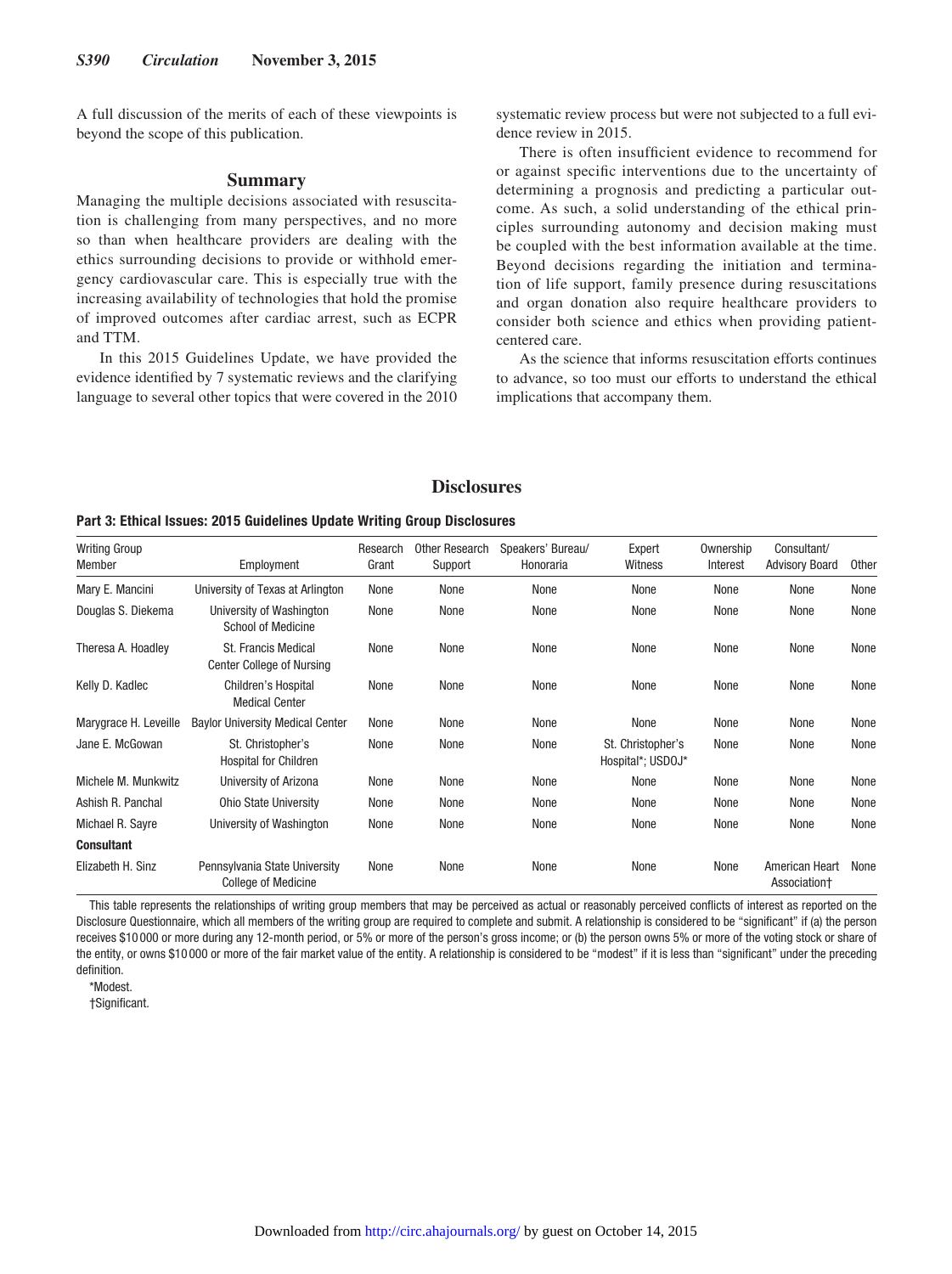A full discussion of the merits of each of these viewpoints is beyond the scope of this publication.

#### **Summary**

Managing the multiple decisions associated with resuscitation is challenging from many perspectives, and no more so than when healthcare providers are dealing with the ethics surrounding decisions to provide or withhold emergency cardiovascular care. This is especially true with the increasing availability of technologies that hold the promise of improved outcomes after cardiac arrest, such as ECPR and TTM.

In this 2015 Guidelines Update, we have provided the evidence identified by 7 systematic reviews and the clarifying language to several other topics that were covered in the 2010

systematic review process but were not subjected to a full evidence review in 2015.

There is often insufficient evidence to recommend for or against specific interventions due to the uncertainty of determining a prognosis and predicting a particular outcome. As such, a solid understanding of the ethical principles surrounding autonomy and decision making must be coupled with the best information available at the time. Beyond decisions regarding the initiation and termination of life support, family presence during resuscitations and organ donation also require healthcare providers to consider both science and ethics when providing patientcentered care.

As the science that informs resuscitation efforts continues to advance, so too must our efforts to understand the ethical implications that accompany them.

### **Disclosures**

#### **Part 3: Ethical Issues: 2015 Guidelines Update Writing Group Disclosures**

| <b>Writing Group</b><br>Member | Employment                                                     | Research<br>Grant | Other Research<br>Support    | Speakers' Bureau/<br>Honoraria | Expert<br>Witness                      | Ownership<br>Interest | Consultant/<br><b>Advisory Board</b> | <b>Other</b> |
|--------------------------------|----------------------------------------------------------------|-------------------|------------------------------|--------------------------------|----------------------------------------|-----------------------|--------------------------------------|--------------|
| Mary E. Mancini                | University of Texas at Arlington                               | None              | None                         | None                           | None                                   | None                  | None                                 | None         |
| Douglas S. Diekema             | University of Washington<br><b>School of Medicine</b>          | None              | None                         | None                           | None                                   | None                  | None                                 | None         |
| Theresa A. Hoadley             | <b>St. Francis Medical</b><br><b>Center College of Nursing</b> | None              | None<br>None<br>None<br>None |                                | None                                   | None                  |                                      |              |
| Kelly D. Kadlec                | Children's Hospital<br><b>Medical Center</b>                   | None              | None                         | None                           | None                                   | None                  | None                                 | None         |
| Marygrace H. Leveille          | <b>Baylor University Medical Center</b>                        | None              | None                         | None                           | None                                   | None                  | None                                 | None         |
| Jane E. McGowan                | St. Christopher's<br><b>Hospital for Children</b>              | None              | None                         | None                           | St. Christopher's<br>Hospital*; USDOJ* | None                  | None                                 | None         |
| Michele M. Munkwitz            | University of Arizona                                          | None              | None                         | None                           | None                                   | None                  | None                                 | None         |
| Ashish R. Panchal              | <b>Ohio State University</b>                                   | None              | None                         | None                           | None                                   | None                  | None                                 | None         |
| Michael R. Sayre               | University of Washington                                       | None              | None                         | None                           | None                                   | None                  | None                                 | None         |
| <b>Consultant</b>              |                                                                |                   |                              |                                |                                        |                       |                                      |              |
| Elizabeth H. Sinz              | Pennsylvania State University<br><b>College of Medicine</b>    | None              | None                         | None                           | None                                   | None                  | American Heart<br>Association+       | None         |

This table represents the relationships of writing group members that may be perceived as actual or reasonably perceived conflicts of interest as reported on the Disclosure Questionnaire, which all members of the writing group are required to complete and submit. A relationship is considered to be "significant" if (a) the person receives \$10 000 or more during any 12-month period, or 5% or more of the person's gross income; or (b) the person owns 5% or more of the voting stock or share of the entity, or owns \$10 000 or more of the fair market value of the entity. A relationship is considered to be "modest" if it is less than "significant" under the preceding definition.

\*Modest.

†Significant.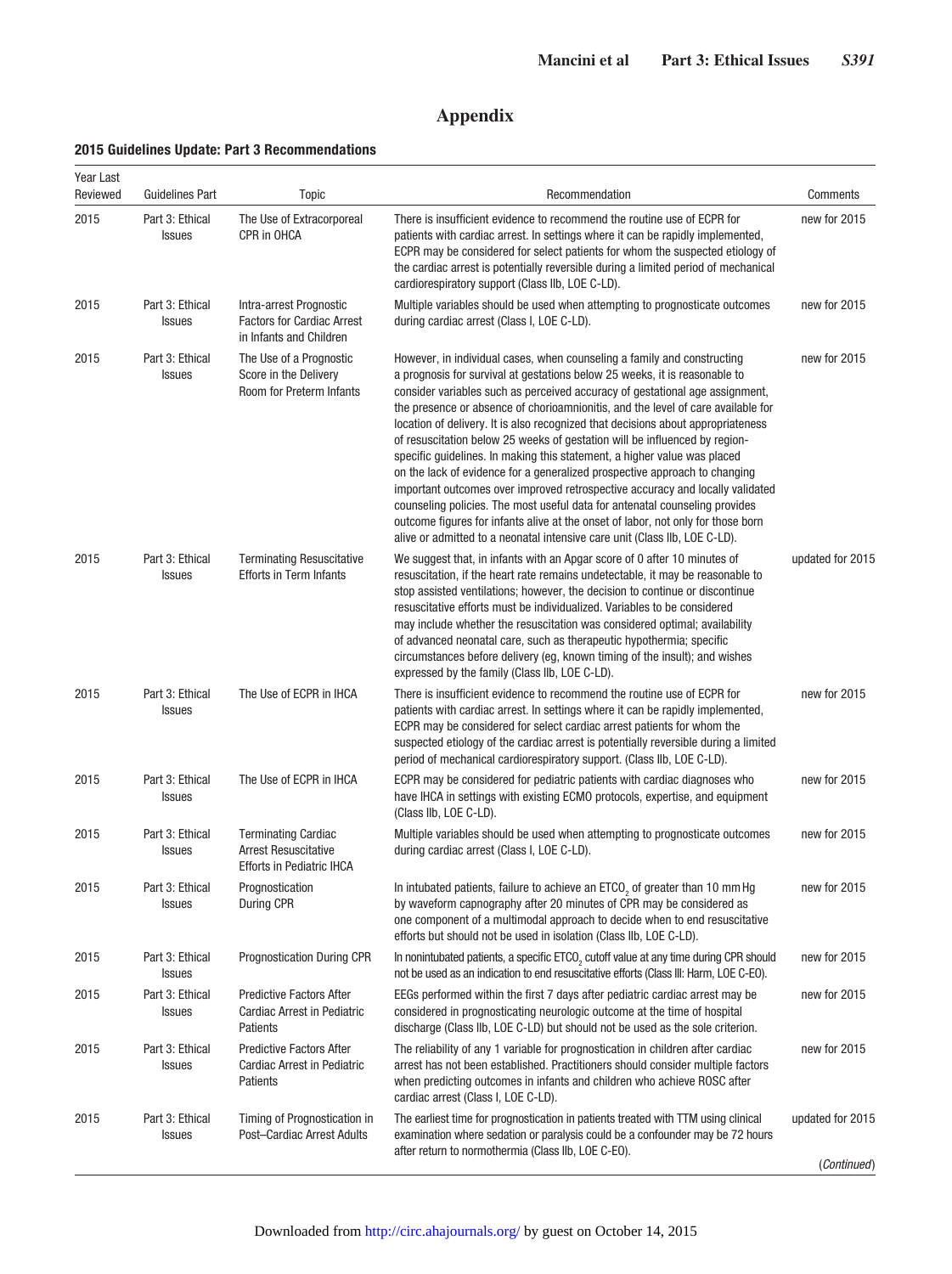## **Appendix**

### **2015 Guidelines Update: Part 3 Recommendations**

| Year Last<br>Reviewed | <b>Guidelines Part</b>           | Topic                                                                                         | Recommendation                                                                                                                                                                                                                                                                                                                                                                                                                                                                                                                                                                                                                                                                                                                                                                                                                                                                                                                                                                          | Comments         |
|-----------------------|----------------------------------|-----------------------------------------------------------------------------------------------|-----------------------------------------------------------------------------------------------------------------------------------------------------------------------------------------------------------------------------------------------------------------------------------------------------------------------------------------------------------------------------------------------------------------------------------------------------------------------------------------------------------------------------------------------------------------------------------------------------------------------------------------------------------------------------------------------------------------------------------------------------------------------------------------------------------------------------------------------------------------------------------------------------------------------------------------------------------------------------------------|------------------|
| 2015                  | Part 3: Ethical<br><b>Issues</b> | The Use of Extracorporeal<br>CPR in OHCA                                                      | There is insufficient evidence to recommend the routine use of ECPR for<br>patients with cardiac arrest. In settings where it can be rapidly implemented,<br>ECPR may be considered for select patients for whom the suspected etiology of<br>the cardiac arrest is potentially reversible during a limited period of mechanical<br>cardiorespiratory support (Class IIb, LOE C-LD).                                                                                                                                                                                                                                                                                                                                                                                                                                                                                                                                                                                                    | new for 2015     |
| 2015                  | Part 3: Ethical<br><b>Issues</b> | Intra-arrest Prognostic<br><b>Factors for Cardiac Arrest</b><br>in Infants and Children       | Multiple variables should be used when attempting to prognosticate outcomes<br>during cardiac arrest (Class I, LOE C-LD).                                                                                                                                                                                                                                                                                                                                                                                                                                                                                                                                                                                                                                                                                                                                                                                                                                                               | new for 2015     |
| 2015                  | Part 3: Ethical<br><b>Issues</b> | The Use of a Prognostic<br>Score in the Delivery<br>Room for Preterm Infants                  | However, in individual cases, when counseling a family and constructing<br>a prognosis for survival at gestations below 25 weeks, it is reasonable to<br>consider variables such as perceived accuracy of gestational age assignment,<br>the presence or absence of chorioamnionitis, and the level of care available for<br>location of delivery. It is also recognized that decisions about appropriateness<br>of resuscitation below 25 weeks of gestation will be influenced by region-<br>specific guidelines. In making this statement, a higher value was placed<br>on the lack of evidence for a generalized prospective approach to changing<br>important outcomes over improved retrospective accuracy and locally validated<br>counseling policies. The most useful data for antenatal counseling provides<br>outcome figures for infants alive at the onset of labor, not only for those born<br>alive or admitted to a neonatal intensive care unit (Class IIb, LOE C-LD). | new for 2015     |
| 2015                  | Part 3: Ethical<br><b>Issues</b> | <b>Terminating Resuscitative</b><br><b>Efforts in Term Infants</b>                            | We suggest that, in infants with an Apgar score of 0 after 10 minutes of<br>resuscitation, if the heart rate remains undetectable, it may be reasonable to<br>stop assisted ventilations; however, the decision to continue or discontinue<br>resuscitative efforts must be individualized. Variables to be considered<br>may include whether the resuscitation was considered optimal; availability<br>of advanced neonatal care, such as therapeutic hypothermia; specific<br>circumstances before delivery (eg, known timing of the insult); and wishes<br>expressed by the family (Class IIb, LOE C-LD).                                                                                                                                                                                                                                                                                                                                                                            | updated for 2015 |
| 2015                  | Part 3: Ethical<br><b>Issues</b> | The Use of ECPR in IHCA                                                                       | There is insufficient evidence to recommend the routine use of ECPR for<br>patients with cardiac arrest. In settings where it can be rapidly implemented,<br>ECPR may be considered for select cardiac arrest patients for whom the<br>suspected etiology of the cardiac arrest is potentially reversible during a limited<br>period of mechanical cardiorespiratory support. (Class IIb, LOE C-LD).                                                                                                                                                                                                                                                                                                                                                                                                                                                                                                                                                                                    | new for 2015     |
| 2015                  | Part 3: Ethical<br><b>Issues</b> | The Use of ECPR in IHCA                                                                       | ECPR may be considered for pediatric patients with cardiac diagnoses who<br>have IHCA in settings with existing ECMO protocols, expertise, and equipment<br>(Class IIb, LOE C-LD).                                                                                                                                                                                                                                                                                                                                                                                                                                                                                                                                                                                                                                                                                                                                                                                                      | new for 2015     |
| 2015                  | Part 3: Ethical<br><b>Issues</b> | <b>Terminating Cardiac</b><br><b>Arrest Resuscitative</b><br><b>Efforts in Pediatric IHCA</b> | Multiple variables should be used when attempting to prognosticate outcomes<br>during cardiac arrest (Class I, LOE C-LD).                                                                                                                                                                                                                                                                                                                                                                                                                                                                                                                                                                                                                                                                                                                                                                                                                                                               | new for 2015     |
| 2015                  | Part 3: Ethical<br><b>Issues</b> | Prognostication<br>During CPR                                                                 | In intubated patients, failure to achieve an ETCO <sub>2</sub> of greater than 10 mm Hg<br>by waveform capnography after 20 minutes of CPR may be considered as<br>one component of a multimodal approach to decide when to end resuscitative<br>efforts but should not be used in isolation (Class IIb, LOE C-LD).                                                                                                                                                                                                                                                                                                                                                                                                                                                                                                                                                                                                                                                                     | new for 2015     |
| 2015                  | Part 3: Ethical<br><b>Issues</b> | Prognostication During CPR                                                                    | In nonintubated patients, a specific ETCO <sub>2</sub> cutoff value at any time during CPR should<br>not be used as an indication to end resuscitative efforts (Class III: Harm, LOE C-EO).                                                                                                                                                                                                                                                                                                                                                                                                                                                                                                                                                                                                                                                                                                                                                                                             | new for 2015     |
| 2015                  | Part 3: Ethical<br><b>Issues</b> | <b>Predictive Factors After</b><br>Cardiac Arrest in Pediatric<br>Patients                    | EEGs performed within the first 7 days after pediatric cardiac arrest may be<br>considered in prognosticating neurologic outcome at the time of hospital<br>discharge (Class IIb, LOE C-LD) but should not be used as the sole criterion.                                                                                                                                                                                                                                                                                                                                                                                                                                                                                                                                                                                                                                                                                                                                               | new for 2015     |
| 2015                  | Part 3: Ethical<br><b>Issues</b> | <b>Predictive Factors After</b><br>Cardiac Arrest in Pediatric<br>Patients                    | The reliability of any 1 variable for prognostication in children after cardiac<br>arrest has not been established. Practitioners should consider multiple factors<br>when predicting outcomes in infants and children who achieve ROSC after<br>cardiac arrest (Class I, LOE C-LD).                                                                                                                                                                                                                                                                                                                                                                                                                                                                                                                                                                                                                                                                                                    | new for 2015     |
| 2015                  | Part 3: Ethical<br><b>Issues</b> | Timing of Prognostication in<br>Post-Cardiac Arrest Adults                                    | The earliest time for prognostication in patients treated with TTM using clinical<br>examination where sedation or paralysis could be a confounder may be 72 hours<br>after return to normothermia (Class IIb, LOE C-EO).                                                                                                                                                                                                                                                                                                                                                                                                                                                                                                                                                                                                                                                                                                                                                               | updated for 2015 |
|                       |                                  |                                                                                               |                                                                                                                                                                                                                                                                                                                                                                                                                                                                                                                                                                                                                                                                                                                                                                                                                                                                                                                                                                                         | (Continued)      |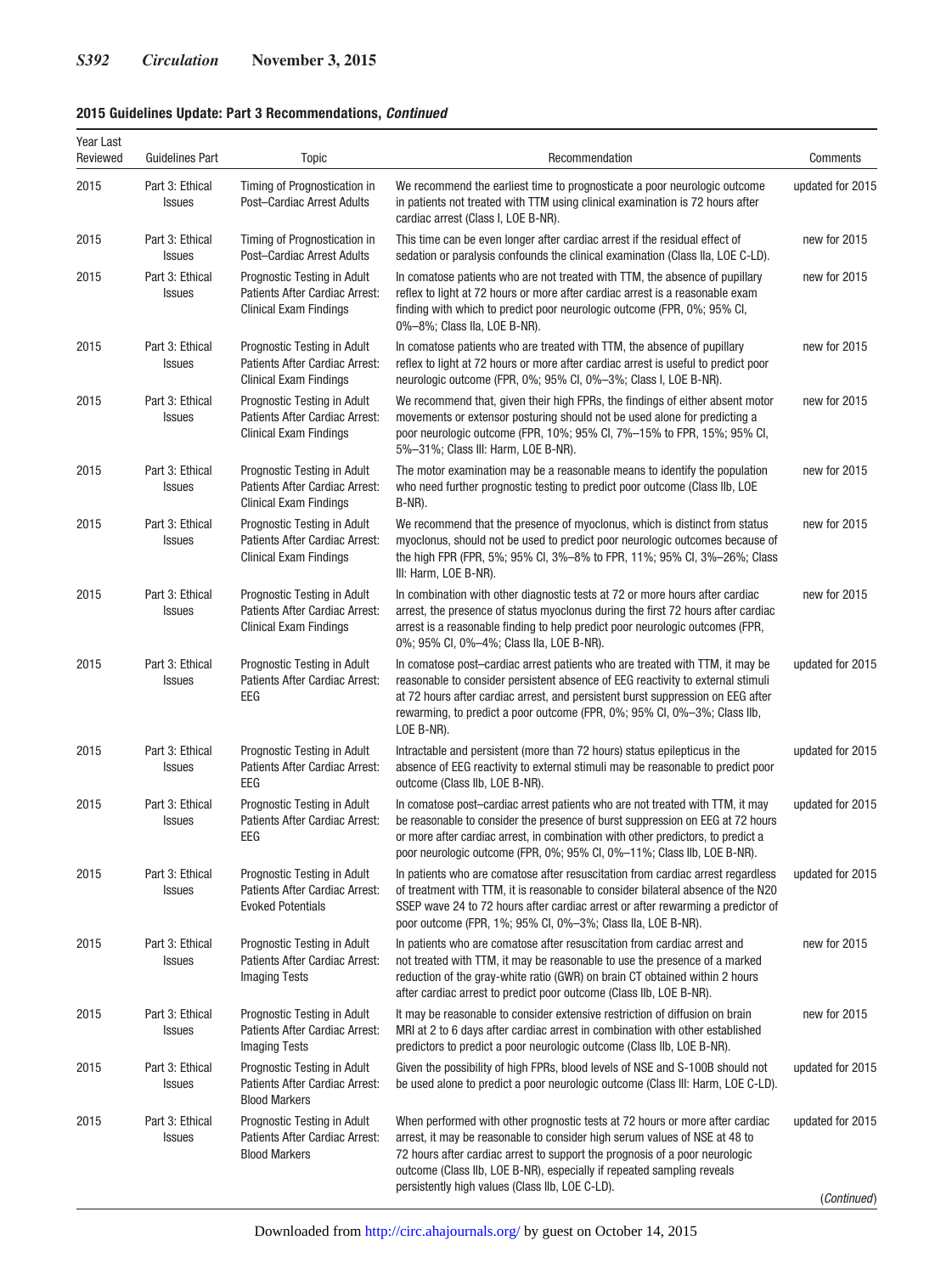### **2015 Guidelines Update: Part 3 Recommendations,** *Continued*

| Year Last<br>Reviewed | Guidelines Part                  | Topic                                                                                                 | Recommendation                                                                                                                                                                                                                                                                                                                                                         | Comments         |
|-----------------------|----------------------------------|-------------------------------------------------------------------------------------------------------|------------------------------------------------------------------------------------------------------------------------------------------------------------------------------------------------------------------------------------------------------------------------------------------------------------------------------------------------------------------------|------------------|
| 2015                  | Part 3: Ethical<br><b>Issues</b> | Timing of Prognostication in<br>Post-Cardiac Arrest Adults                                            | We recommend the earliest time to prognosticate a poor neurologic outcome<br>in patients not treated with TTM using clinical examination is 72 hours after<br>cardiac arrest (Class I, LOE B-NR).                                                                                                                                                                      | updated for 2015 |
| 2015                  | Part 3: Ethical<br><b>Issues</b> | Timing of Prognostication in<br>Post-Cardiac Arrest Adults                                            | This time can be even longer after cardiac arrest if the residual effect of<br>sedation or paralysis confounds the clinical examination (Class IIa, LOE C-LD).                                                                                                                                                                                                         | new for 2015     |
| 2015                  | Part 3: Ethical<br><b>Issues</b> | Prognostic Testing in Adult<br>Patients After Cardiac Arrest:<br><b>Clinical Exam Findings</b>        | In comatose patients who are not treated with TTM, the absence of pupillary<br>reflex to light at 72 hours or more after cardiac arrest is a reasonable exam<br>finding with which to predict poor neurologic outcome (FPR, 0%; 95% CI,<br>0%-8%; Class IIa, LOE B-NR).                                                                                                | new for 2015     |
| 2015                  | Part 3: Ethical<br><b>Issues</b> | Prognostic Testing in Adult<br><b>Patients After Cardiac Arrest:</b><br><b>Clinical Exam Findings</b> | In comatose patients who are treated with TTM, the absence of pupillary<br>reflex to light at 72 hours or more after cardiac arrest is useful to predict poor<br>neurologic outcome (FPR, 0%; 95% CI, 0%-3%; Class I, LOE B-NR).                                                                                                                                       | new for 2015     |
| 2015                  | Part 3: Ethical<br><b>Issues</b> | Prognostic Testing in Adult<br>Patients After Cardiac Arrest:<br><b>Clinical Exam Findings</b>        | We recommend that, given their high FPRs, the findings of either absent motor<br>movements or extensor posturing should not be used alone for predicting a<br>poor neurologic outcome (FPR, 10%; 95% Cl, 7%-15% to FPR, 15%; 95% Cl,<br>5%-31%; Class III: Harm, LOE B-NR).                                                                                            | new for 2015     |
| 2015                  | Part 3: Ethical<br><b>Issues</b> | Prognostic Testing in Adult<br>Patients After Cardiac Arrest:<br><b>Clinical Exam Findings</b>        | The motor examination may be a reasonable means to identify the population<br>who need further prognostic testing to predict poor outcome (Class IIb, LOE<br>B-NR).                                                                                                                                                                                                    | new for 2015     |
| 2015                  | Part 3: Ethical<br><b>Issues</b> | Prognostic Testing in Adult<br>Patients After Cardiac Arrest:<br><b>Clinical Exam Findings</b>        | We recommend that the presence of myoclonus, which is distinct from status<br>myoclonus, should not be used to predict poor neurologic outcomes because of<br>the high FPR (FPR, 5%; 95% Cl, 3%-8% to FPR, 11%; 95% Cl, 3%-26%; Class<br>III: Harm, LOE B-NR).                                                                                                         | new for 2015     |
| 2015                  | Part 3: Ethical<br><b>Issues</b> | Prognostic Testing in Adult<br>Patients After Cardiac Arrest:<br><b>Clinical Exam Findings</b>        | In combination with other diagnostic tests at 72 or more hours after cardiac<br>arrest, the presence of status myoclonus during the first 72 hours after cardiac<br>arrest is a reasonable finding to help predict poor neurologic outcomes (FPR,<br>0%; 95% CI, 0%-4%; Class IIa, LOE B-NR).                                                                          | new for 2015     |
| 2015                  | Part 3: Ethical<br><b>Issues</b> | Prognostic Testing in Adult<br><b>Patients After Cardiac Arrest:</b><br>EEG                           | In comatose post-cardiac arrest patients who are treated with TTM, it may be<br>reasonable to consider persistent absence of EEG reactivity to external stimuli<br>at 72 hours after cardiac arrest, and persistent burst suppression on EEG after<br>rewarming, to predict a poor outcome (FPR, 0%; 95% CI, 0%-3%; Class IIb,<br>LOE B-NR).                           | updated for 2015 |
| 2015                  | Part 3: Ethical<br><b>Issues</b> | Prognostic Testing in Adult<br>Patients After Cardiac Arrest:<br>EEG                                  | Intractable and persistent (more than 72 hours) status epilepticus in the<br>absence of EEG reactivity to external stimuli may be reasonable to predict poor<br>outcome (Class IIb, LOE B-NR).                                                                                                                                                                         | updated for 2015 |
| 2015                  | Part 3: Ethical<br><b>Issues</b> | Prognostic Testing in Adult<br>Patients After Cardiac Arrest:<br>EEG                                  | In comatose post-cardiac arrest patients who are not treated with TTM, it may<br>be reasonable to consider the presence of burst suppression on EEG at 72 hours<br>or more after cardiac arrest, in combination with other predictors, to predict a<br>poor neurologic outcome (FPR, 0%; 95% CI, 0%-11%; Class IIb, LOE B-NR).                                         | updated for 2015 |
| 2015                  | Part 3: Ethical<br><b>Issues</b> | Prognostic Testing in Adult<br>Patients After Cardiac Arrest:<br><b>Evoked Potentials</b>             | In patients who are comatose after resuscitation from cardiac arrest regardless<br>of treatment with TTM, it is reasonable to consider bilateral absence of the N20<br>SSEP wave 24 to 72 hours after cardiac arrest or after rewarming a predictor of<br>poor outcome (FPR, 1%; 95% CI, 0%-3%; Class IIa, LOE B-NR).                                                  | updated for 2015 |
| 2015                  | Part 3: Ethical<br><b>Issues</b> | Prognostic Testing in Adult<br>Patients After Cardiac Arrest:<br><b>Imaging Tests</b>                 | In patients who are comatose after resuscitation from cardiac arrest and<br>not treated with TTM, it may be reasonable to use the presence of a marked<br>reduction of the gray-white ratio (GWR) on brain CT obtained within 2 hours<br>after cardiac arrest to predict poor outcome (Class IIb, LOE B-NR).                                                           | new for 2015     |
| 2015                  | Part 3: Ethical<br><b>Issues</b> | Prognostic Testing in Adult<br>Patients After Cardiac Arrest:<br><b>Imaging Tests</b>                 | It may be reasonable to consider extensive restriction of diffusion on brain<br>MRI at 2 to 6 days after cardiac arrest in combination with other established<br>predictors to predict a poor neurologic outcome (Class IIb, LOE B-NR).                                                                                                                                | new for 2015     |
| 2015                  | Part 3: Ethical<br><b>Issues</b> | Prognostic Testing in Adult<br>Patients After Cardiac Arrest:<br><b>Blood Markers</b>                 | Given the possibility of high FPRs, blood levels of NSE and S-100B should not<br>be used alone to predict a poor neurologic outcome (Class III: Harm, LOE C-LD).                                                                                                                                                                                                       | updated for 2015 |
| 2015                  | Part 3: Ethical<br><b>Issues</b> | Prognostic Testing in Adult<br>Patients After Cardiac Arrest:<br><b>Blood Markers</b>                 | When performed with other prognostic tests at 72 hours or more after cardiac<br>arrest, it may be reasonable to consider high serum values of NSE at 48 to<br>72 hours after cardiac arrest to support the prognosis of a poor neurologic<br>outcome (Class IIb, LOE B-NR), especially if repeated sampling reveals<br>persistently high values (Class IIb, LOE C-LD). | updated for 2015 |
|                       |                                  |                                                                                                       |                                                                                                                                                                                                                                                                                                                                                                        | (Continued)      |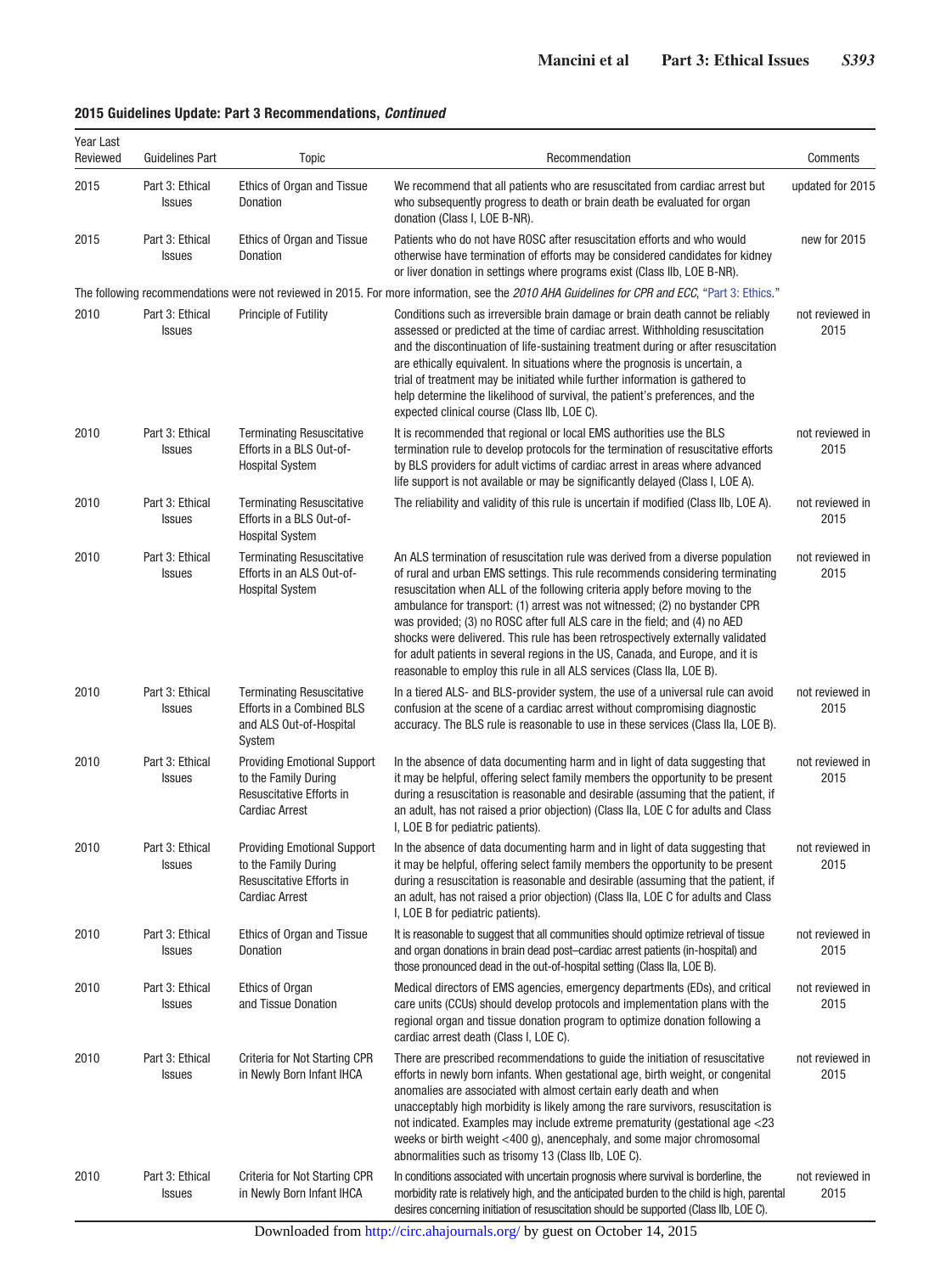#### 2015 Part 3: Ethical Issues Ethics of Organ and Tissue Donation We recommend that all patients who are resuscitated from cardiac arrest but who subsequently progress to death or brain death be evaluated for organ donation (Class I, LOE B-NR). updated for 2015 2015 Part 3: Ethical Issues Ethics of Organ and Tissue Donation Patients who do not have ROSC after resuscitation efforts and who would otherwise have termination of efforts may be considered candidates for kidney or liver donation in settings where programs exist (Class IIb, LOE B-NR). new for 2015 The following recommendations were not reviewed in 2015. For more information, see the 2010 AHA Guidelines for CPR and ECC, ["Part 3: Ethics](http://circ.ahajournals.org/content/122/18_suppl_3/S665.full.pdf+html)." 2010 Part 3: Ethical Issues Principle of Futility Conditions such as irreversible brain damage or brain death cannot be reliably assessed or predicted at the time of cardiac arrest. Withholding resuscitation and the discontinuation of life-sustaining treatment during or after resuscitation are ethically equivalent. In situations where the prognosis is uncertain, a trial of treatment may be initiated while further information is gathered to help determine the likelihood of survival, the patient's preferences, and the expected clinical course (Class IIb, LOE C). not reviewed in 2015 2010 Part 3: Ethical Issues Terminating Resuscitative Efforts in a BLS Out-of-Hospital System It is recommended that regional or local EMS authorities use the BLS termination rule to develop protocols for the termination of resuscitative efforts by BLS providers for adult victims of cardiac arrest in areas where advanced life support is not available or may be significantly delayed (Class I, LOE A). not reviewed in 2015 2010 Part 3: Ethical Issues Terminating Resuscitative Efforts in a BLS Out-of-Hospital System The reliability and validity of this rule is uncertain if modified (Class IIb, LOE A). not reviewed in 2015 2010 Part 3: Ethical Issues Terminating Resuscitative Efforts in an ALS Out-of-Hospital System An ALS termination of resuscitation rule was derived from a diverse population of rural and urban EMS settings. This rule recommends considering terminating resuscitation when ALL of the following criteria apply before moving to the ambulance for transport: (1) arrest was not witnessed; (2) no bystander CPR was provided; (3) no ROSC after full ALS care in the field; and (4) no AED shocks were delivered. This rule has been retrospectively externally validated for adult patients in several regions in the US, Canada, and Europe, and it is reasonable to employ this rule in all ALS services (Class IIa, LOE B). not reviewed in 2015 2010 Part 3: Ethical Issues Terminating Resuscitative Efforts in a Combined BLS and ALS Out-of-Hospital System In a tiered ALS- and BLS-provider system, the use of a universal rule can avoid confusion at the scene of a cardiac arrest without compromising diagnostic accuracy. The BLS rule is reasonable to use in these services (Class IIa, LOE B). not reviewed in 2015 2010 Part 3: Ethical Issues Providing Emotional Support to the Family During Resuscitative Efforts in Cardiac Arrest In the absence of data documenting harm and in light of data suggesting that it may be helpful, offering select family members the opportunity to be present during a resuscitation is reasonable and desirable (assuming that the patient, if an adult, has not raised a prior objection) (Class IIa, LOE C for adults and Class I, LOE B for pediatric patients). not reviewed in 2015 2010 Part 3: Ethical Issues Providing Emotional Support to the Family During Resuscitative Efforts in Cardiac Arrest In the absence of data documenting harm and in light of data suggesting that it may be helpful, offering select family members the opportunity to be present during a resuscitation is reasonable and desirable (assuming that the patient, if an adult, has not raised a prior objection) (Class IIa, LOE C for adults and Class I, LOE B for pediatric patients). not reviewed in 2015 2010 Part 3: Ethical Issues Ethics of Organ and Tissue Donation It is reasonable to suggest that all communities should optimize retrieval of tissue and organ donations in brain dead post–cardiac arrest patients (in-hospital) and those pronounced dead in the out-of-hospital setting (Class IIa, LOE B). not reviewed in 2015 2010 Part 3: Ethical Issues Ethics of Organ and Tissue Donation Medical directors of EMS agencies, emergency departments (EDs), and critical care units (CCUs) should develop protocols and implementation plans with the regional organ and tissue donation program to optimize donation following a cardiac arrest death (Class I, LOE C). not reviewed in 2015 2010 Part 3: Ethical Issues Criteria for Not Starting CPR in Newly Born Infant IHCA There are prescribed recommendations to guide the initiation of resuscitative efforts in newly born infants. When gestational age, birth weight, or congenital anomalies are associated with almost certain early death and when unacceptably high morbidity is likely among the rare survivors, resuscitation is not indicated. Examples may include extreme prematurity (gestational age <23 weeks or birth weight <400 g), anencephaly, and some major chromosomal abnormalities such as trisomy 13 (Class IIb, LOE C). not reviewed in 2015 2010 Part 3: Ethical Issues Criteria for Not Starting CPR in Newly Born Infant IHCA In conditions associated with uncertain prognosis where survival is borderline, the morbidity rate is relatively high, and the anticipated burden to the child is high, parental desires concerning initiation of resuscitation should be supported (Class IIb, LOE C). not reviewed in 2015 Year Last Reviewed Guidelines Part Topic Recommendation Comments

#### **2015 Guidelines Update: Part 3 Recommendations,** *Continued*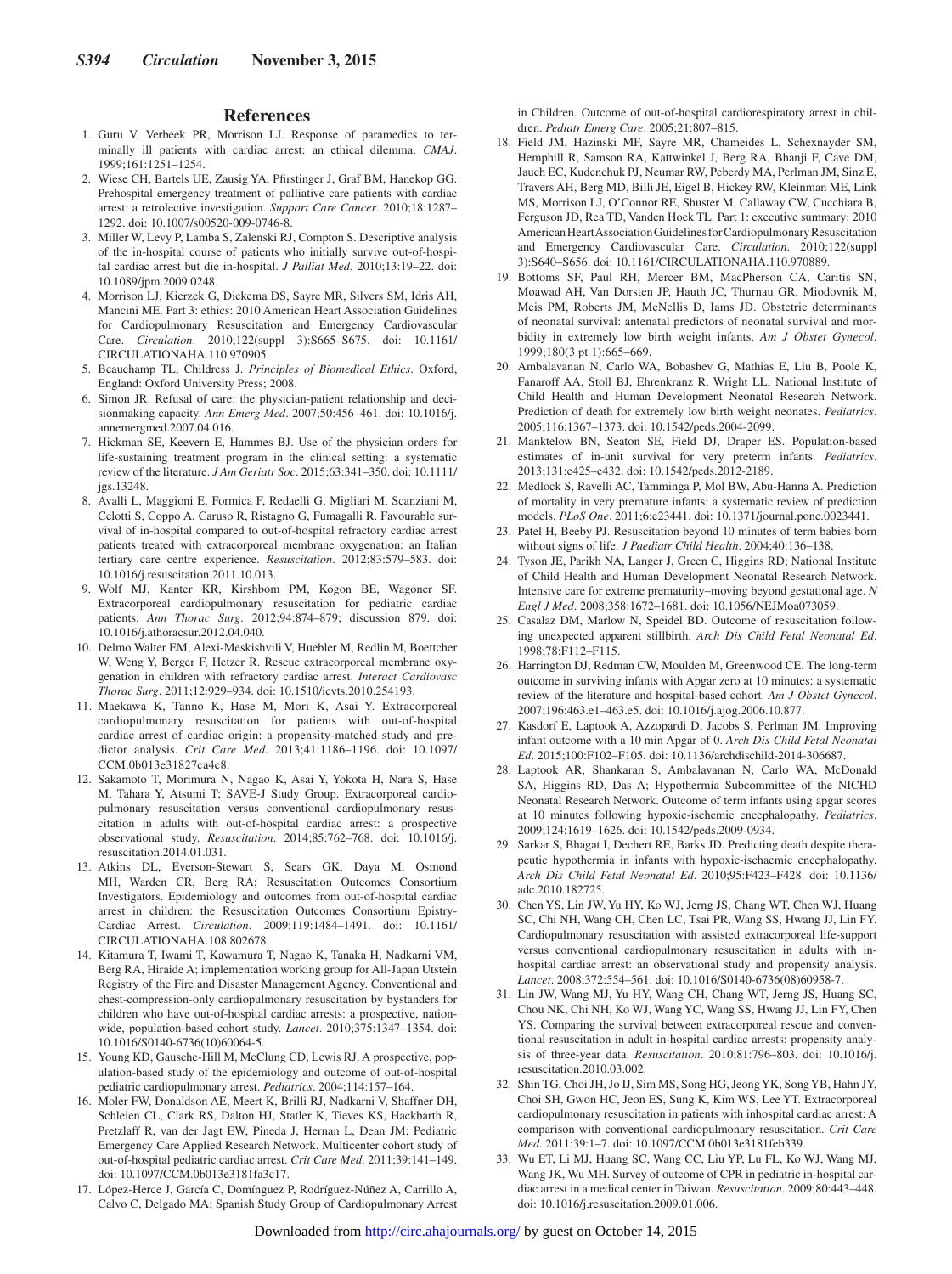#### **References**

- 1. Guru V, Verbeek PR, Morrison LJ. Response of paramedics to terminally ill patients with cardiac arrest: an ethical dilemma. *CMAJ*. 1999;161:1251–1254.
- 2. Wiese CH, Bartels UE, Zausig YA, Pfirstinger J, Graf BM, Hanekop GG. Prehospital emergency treatment of palliative care patients with cardiac arrest: a retrolective investigation. *Support Care Cancer*. 2010;18:1287– 1292. doi: 10.1007/s00520-009-0746-8.
- 3. Miller W, Levy P, Lamba S, Zalenski RJ, Compton S. Descriptive analysis of the in-hospital course of patients who initially survive out-of-hospital cardiac arrest but die in-hospital. *J Palliat Med*. 2010;13:19–22. doi: 10.1089/jpm.2009.0248.
- 4. Morrison LJ, Kierzek G, Diekema DS, Sayre MR, Silvers SM, Idris AH, Mancini ME. Part 3: ethics: 2010 American Heart Association Guidelines for Cardiopulmonary Resuscitation and Emergency Cardiovascular Care. *Circulation*. 2010;122(suppl 3):S665–S675. doi: 10.1161/ CIRCULATIONAHA.110.970905.
- 5. Beauchamp TL, Childress J. *Principles of Biomedical Ethics*. Oxford, England: Oxford University Press; 2008.
- 6. Simon JR. Refusal of care: the physician-patient relationship and decisionmaking capacity. *Ann Emerg Med*. 2007;50:456–461. doi: 10.1016/j. annemergmed.2007.04.016.
- 7. Hickman SE, Keevern E, Hammes BJ. Use of the physician orders for life-sustaining treatment program in the clinical setting: a systematic review of the literature. *J Am Geriatr Soc*. 2015;63:341–350. doi: 10.1111/ jgs.13248.
- 8. Avalli L, Maggioni E, Formica F, Redaelli G, Migliari M, Scanziani M, Celotti S, Coppo A, Caruso R, Ristagno G, Fumagalli R. Favourable survival of in-hospital compared to out-of-hospital refractory cardiac arrest patients treated with extracorporeal membrane oxygenation: an Italian tertiary care centre experience. *Resuscitation*. 2012;83:579–583. doi: 10.1016/j.resuscitation.2011.10.013.
- 9. Wolf MJ, Kanter KR, Kirshbom PM, Kogon BE, Wagoner SF. Extracorporeal cardiopulmonary resuscitation for pediatric cardiac patients. *Ann Thorac Surg*. 2012;94:874–879; discussion 879. doi: 10.1016/j.athoracsur.2012.04.040.
- 10. Delmo Walter EM, Alexi-Meskishvili V, Huebler M, Redlin M, Boettcher W, Weng Y, Berger F, Hetzer R. Rescue extracorporeal membrane oxygenation in children with refractory cardiac arrest. *Interact Cardiovasc Thorac Surg*. 2011;12:929–934. doi: 10.1510/icvts.2010.254193.
- 11. Maekawa K, Tanno K, Hase M, Mori K, Asai Y. Extracorporeal cardiopulmonary resuscitation for patients with out-of-hospital cardiac arrest of cardiac origin: a propensity-matched study and predictor analysis. *Crit Care Med*. 2013;41:1186–1196. doi: 10.1097/ CCM.0b013e31827ca4c8.
- 12. Sakamoto T, Morimura N, Nagao K, Asai Y, Yokota H, Nara S, Hase M, Tahara Y, Atsumi T; SAVE-J Study Group. Extracorporeal cardiopulmonary resuscitation versus conventional cardiopulmonary resuscitation in adults with out-of-hospital cardiac arrest: a prospective observational study. *Resuscitation*. 2014;85:762–768. doi: 10.1016/j. resuscitation.2014.01.031.
- 13. Atkins DL, Everson-Stewart S, Sears GK, Daya M, Osmond MH, Warden CR, Berg RA; Resuscitation Outcomes Consortium Investigators. Epidemiology and outcomes from out-of-hospital cardiac arrest in children: the Resuscitation Outcomes Consortium Epistry-Cardiac Arrest. *Circulation*. 2009;119:1484–1491. doi: 10.1161/ CIRCULATIONAHA.108.802678.
- 14. Kitamura T, Iwami T, Kawamura T, Nagao K, Tanaka H, Nadkarni VM, Berg RA, Hiraide A; implementation working group for All-Japan Utstein Registry of the Fire and Disaster Management Agency. Conventional and chest-compression-only cardiopulmonary resuscitation by bystanders for children who have out-of-hospital cardiac arrests: a prospective, nationwide, population-based cohort study. *Lancet*. 2010;375:1347–1354. doi: 10.1016/S0140-6736(10)60064-5.
- 15. Young KD, Gausche-Hill M, McClung CD, Lewis RJ. A prospective, population-based study of the epidemiology and outcome of out-of-hospital pediatric cardiopulmonary arrest. *Pediatrics*. 2004;114:157–164.
- 16. Moler FW, Donaldson AE, Meert K, Brilli RJ, Nadkarni V, Shaffner DH, Schleien CL, Clark RS, Dalton HJ, Statler K, Tieves KS, Hackbarth R, Pretzlaff R, van der Jagt EW, Pineda J, Hernan L, Dean JM; Pediatric Emergency Care Applied Research Network. Multicenter cohort study of out-of-hospital pediatric cardiac arrest. *Crit Care Med*. 2011;39:141–149. doi: 10.1097/CCM.0b013e3181fa3c17.
- 17. López-Herce J, García C, Domínguez P, Rodríguez-Núñez A, Carrillo A, Calvo C, Delgado MA; Spanish Study Group of Cardiopulmonary Arrest

in Children. Outcome of out-of-hospital cardiorespiratory arrest in children. *Pediatr Emerg Care*. 2005;21:807–815.

- 18. Field JM, Hazinski MF, Sayre MR, Chameides L, Schexnayder SM, Hemphill R, Samson RA, Kattwinkel J, Berg RA, Bhanji F, Cave DM, Jauch EC, Kudenchuk PJ, Neumar RW, Peberdy MA, Perlman JM, Sinz E, Travers AH, Berg MD, Billi JE, Eigel B, Hickey RW, Kleinman ME, Link MS, Morrison LJ, O'Connor RE, Shuster M, Callaway CW, Cucchiara B, Ferguson JD, Rea TD, Vanden Hoek TL. Part 1: executive summary: 2010 American Heart Association Guidelines for Cardiopulmonary Resuscitation and Emergency Cardiovascular Care. *Circulation*. 2010;122(suppl 3):S640–S656. doi: 10.1161/CIRCULATIONAHA.110.970889.
- 19. Bottoms SF, Paul RH, Mercer BM, MacPherson CA, Caritis SN, Moawad AH, Van Dorsten JP, Hauth JC, Thurnau GR, Miodovnik M, Meis PM, Roberts JM, McNellis D, Iams JD. Obstetric determinants of neonatal survival: antenatal predictors of neonatal survival and morbidity in extremely low birth weight infants. *Am J Obstet Gynecol*. 1999;180(3 pt 1):665–669.
- 20. Ambalavanan N, Carlo WA, Bobashev G, Mathias E, Liu B, Poole K, Fanaroff AA, Stoll BJ, Ehrenkranz R, Wright LL; National Institute of Child Health and Human Development Neonatal Research Network. Prediction of death for extremely low birth weight neonates. *Pediatrics*. 2005;116:1367–1373. doi: 10.1542/peds.2004-2099.
- 21. Manktelow BN, Seaton SE, Field DJ, Draper ES. Population-based estimates of in-unit survival for very preterm infants. *Pediatrics*. 2013;131:e425–e432. doi: 10.1542/peds.2012-2189.
- 22. Medlock S, Ravelli AC, Tamminga P, Mol BW, Abu-Hanna A. Prediction of mortality in very premature infants: a systematic review of prediction models. *PLoS One*. 2011;6:e23441. doi: 10.1371/journal.pone.0023441.
- 23. Patel H, Beeby PJ. Resuscitation beyond 10 minutes of term babies born without signs of life. *J Paediatr Child Health*. 2004;40:136–138.
- 24. Tyson JE, Parikh NA, Langer J, Green C, Higgins RD; National Institute of Child Health and Human Development Neonatal Research Network. Intensive care for extreme prematurity–moving beyond gestational age. *N Engl J Med*. 2008;358:1672–1681. doi: 10.1056/NEJMoa073059.
- 25. Casalaz DM, Marlow N, Speidel BD. Outcome of resuscitation following unexpected apparent stillbirth. *Arch Dis Child Fetal Neonatal Ed*. 1998;78:F112–F115.
- 26. Harrington DJ, Redman CW, Moulden M, Greenwood CE. The long-term outcome in surviving infants with Apgar zero at 10 minutes: a systematic review of the literature and hospital-based cohort. *Am J Obstet Gynecol*. 2007;196:463.e1–463.e5. doi: 10.1016/j.ajog.2006.10.877.
- 27. Kasdorf E, Laptook A, Azzopardi D, Jacobs S, Perlman JM. Improving infant outcome with a 10 min Apgar of 0. *Arch Dis Child Fetal Neonatal Ed*. 2015;100:F102–F105. doi: 10.1136/archdischild-2014-306687.
- 28. Laptook AR, Shankaran S, Ambalavanan N, Carlo WA, McDonald SA, Higgins RD, Das A; Hypothermia Subcommittee of the NICHD Neonatal Research Network. Outcome of term infants using apgar scores at 10 minutes following hypoxic-ischemic encephalopathy. *Pediatrics*. 2009;124:1619–1626. doi: 10.1542/peds.2009-0934.
- 29. Sarkar S, Bhagat I, Dechert RE, Barks JD. Predicting death despite therapeutic hypothermia in infants with hypoxic-ischaemic encephalopathy. *Arch Dis Child Fetal Neonatal Ed*. 2010;95:F423–F428. doi: 10.1136/ adc.2010.182725.
- 30. Chen YS, Lin JW, Yu HY, Ko WJ, Jerng JS, Chang WT, Chen WJ, Huang SC, Chi NH, Wang CH, Chen LC, Tsai PR, Wang SS, Hwang JJ, Lin FY. Cardiopulmonary resuscitation with assisted extracorporeal life-support versus conventional cardiopulmonary resuscitation in adults with inhospital cardiac arrest: an observational study and propensity analysis. *Lancet*. 2008;372:554–561. doi: 10.1016/S0140-6736(08)60958-7.
- 31. Lin JW, Wang MJ, Yu HY, Wang CH, Chang WT, Jerng JS, Huang SC, Chou NK, Chi NH, Ko WJ, Wang YC, Wang SS, Hwang JJ, Lin FY, Chen YS. Comparing the survival between extracorporeal rescue and conventional resuscitation in adult in-hospital cardiac arrests: propensity analysis of three-year data. *Resuscitation*. 2010;81:796–803. doi: 10.1016/j. resuscitation.2010.03.002.
- 32. Shin TG, Choi JH, Jo IJ, Sim MS, Song HG, Jeong YK, Song YB, Hahn JY, Choi SH, Gwon HC, Jeon ES, Sung K, Kim WS, Lee YT. Extracorporeal cardiopulmonary resuscitation in patients with inhospital cardiac arrest: A comparison with conventional cardiopulmonary resuscitation. *Crit Care Med*. 2011;39:1–7. doi: 10.1097/CCM.0b013e3181feb339.
- 33. Wu ET, Li MJ, Huang SC, Wang CC, Liu YP, Lu FL, Ko WJ, Wang MJ, Wang JK, Wu MH. Survey of outcome of CPR in pediatric in-hospital cardiac arrest in a medical center in Taiwan. *Resuscitation*. 2009;80:443–448. doi: 10.1016/j.resuscitation.2009.01.006.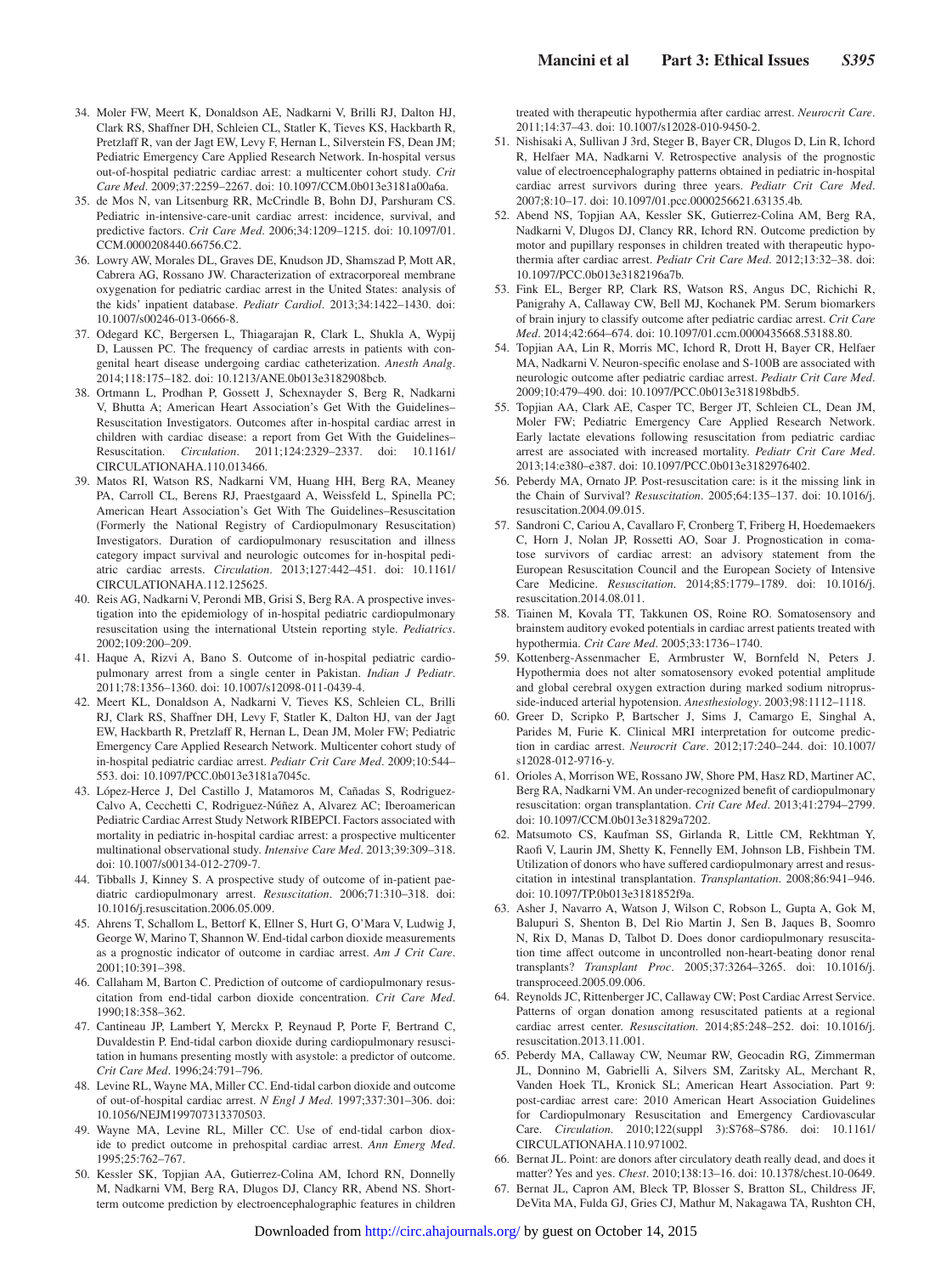- 34. Moler FW, Meert K, Donaldson AE, Nadkarni V, Brilli RJ, Dalton HJ, Clark RS, Shaffner DH, Schleien CL, Statler K, Tieves KS, Hackbarth R, Pretzlaff R, van der Jagt EW, Levy F, Hernan L, Silverstein FS, Dean JM; Pediatric Emergency Care Applied Research Network. In-hospital versus out-of-hospital pediatric cardiac arrest: a multicenter cohort study. *Crit Care Med*. 2009;37:2259–2267. doi: 10.1097/CCM.0b013e3181a00a6a.
- 35. de Mos N, van Litsenburg RR, McCrindle B, Bohn DJ, Parshuram CS. Pediatric in-intensive-care-unit cardiac arrest: incidence, survival, and predictive factors. *Crit Care Med*. 2006;34:1209–1215. doi: 10.1097/01. CCM.0000208440.66756.C2.
- 36. Lowry AW, Morales DL, Graves DE, Knudson JD, Shamszad P, Mott AR, Cabrera AG, Rossano JW. Characterization of extracorporeal membrane oxygenation for pediatric cardiac arrest in the United States: analysis of the kids' inpatient database. *Pediatr Cardiol*. 2013;34:1422–1430. doi: 10.1007/s00246-013-0666-8.
- 37. Odegard KC, Bergersen L, Thiagarajan R, Clark L, Shukla A, Wypij D, Laussen PC. The frequency of cardiac arrests in patients with congenital heart disease undergoing cardiac catheterization. *Anesth Analg*. 2014;118:175–182. doi: 10.1213/ANE.0b013e3182908bcb.
- 38. Ortmann L, Prodhan P, Gossett J, Schexnayder S, Berg R, Nadkarni V, Bhutta A; American Heart Association's Get With the Guidelines– Resuscitation Investigators. Outcomes after in-hospital cardiac arrest in children with cardiac disease: a report from Get With the Guidelines– Resuscitation. *Circulation*. 2011;124:2329–2337. doi: 10.1161/ CIRCULATIONAHA.110.013466.
- 39. Matos RI, Watson RS, Nadkarni VM, Huang HH, Berg RA, Meaney PA, Carroll CL, Berens RJ, Praestgaard A, Weissfeld L, Spinella PC; American Heart Association's Get With The Guidelines–Resuscitation (Formerly the National Registry of Cardiopulmonary Resuscitation) Investigators. Duration of cardiopulmonary resuscitation and illness category impact survival and neurologic outcomes for in-hospital pediatric cardiac arrests. *Circulation*. 2013;127:442–451. doi: 10.1161/ CIRCULATIONAHA.112.125625.
- 40. Reis AG, Nadkarni V, Perondi MB, Grisi S, Berg RA. A prospective investigation into the epidemiology of in-hospital pediatric cardiopulmonary resuscitation using the international Utstein reporting style. *Pediatrics*. 2002;109:200–209.
- 41. Haque A, Rizvi A, Bano S. Outcome of in-hospital pediatric cardiopulmonary arrest from a single center in Pakistan. *Indian J Pediatr*. 2011;78:1356–1360. doi: 10.1007/s12098-011-0439-4.
- 42. Meert KL, Donaldson A, Nadkarni V, Tieves KS, Schleien CL, Brilli RJ, Clark RS, Shaffner DH, Levy F, Statler K, Dalton HJ, van der Jagt EW, Hackbarth R, Pretzlaff R, Hernan L, Dean JM, Moler FW; Pediatric Emergency Care Applied Research Network. Multicenter cohort study of in-hospital pediatric cardiac arrest. *Pediatr Crit Care Med*. 2009;10:544– 553. doi: 10.1097/PCC.0b013e3181a7045c.
- 43. López-Herce J, Del Castillo J, Matamoros M, Cañadas S, Rodriguez-Calvo A, Cecchetti C, Rodriguez-Núñez A, Alvarez AC; Iberoamerican Pediatric Cardiac Arrest Study Network RIBEPCI. Factors associated with mortality in pediatric in-hospital cardiac arrest: a prospective multicenter multinational observational study. *Intensive Care Med*. 2013;39:309–318. doi: 10.1007/s00134-012-2709-7.
- 44. Tibballs J, Kinney S. A prospective study of outcome of in-patient paediatric cardiopulmonary arrest. *Resuscitation*. 2006;71:310–318. doi: 10.1016/j.resuscitation.2006.05.009.
- 45. Ahrens T, Schallom L, Bettorf K, Ellner S, Hurt G, O'Mara V, Ludwig J, George W, Marino T, Shannon W. End-tidal carbon dioxide measurements as a prognostic indicator of outcome in cardiac arrest. *Am J Crit Care*. 2001;10:391–398.
- 46. Callaham M, Barton C. Prediction of outcome of cardiopulmonary resuscitation from end-tidal carbon dioxide concentration. *Crit Care Med*. 1990;18:358–362.
- 47. Cantineau JP, Lambert Y, Merckx P, Reynaud P, Porte F, Bertrand C, Duvaldestin P. End-tidal carbon dioxide during cardiopulmonary resuscitation in humans presenting mostly with asystole: a predictor of outcome. *Crit Care Med*. 1996;24:791–796.
- 48. Levine RL, Wayne MA, Miller CC. End-tidal carbon dioxide and outcome of out-of-hospital cardiac arrest. *N Engl J Med*. 1997;337:301–306. doi: 10.1056/NEJM199707313370503.
- Wayne MA, Levine RL, Miller CC. Use of end-tidal carbon dioxide to predict outcome in prehospital cardiac arrest. *Ann Emerg Med*. 1995;25:762–767.
- 50. Kessler SK, Topjian AA, Gutierrez-Colina AM, Ichord RN, Donnelly M, Nadkarni VM, Berg RA, Dlugos DJ, Clancy RR, Abend NS. Shortterm outcome prediction by electroencephalographic features in children

treated with therapeutic hypothermia after cardiac arrest. *Neurocrit Care*. 2011;14:37–43. doi: 10.1007/s12028-010-9450-2.

- 51. Nishisaki A, Sullivan J 3rd, Steger B, Bayer CR, Dlugos D, Lin R, Ichord R, Helfaer MA, Nadkarni V. Retrospective analysis of the prognostic value of electroencephalography patterns obtained in pediatric in-hospital cardiac arrest survivors during three years. *Pediatr Crit Care Med*. 2007;8:10–17. doi: 10.1097/01.pcc.0000256621.63135.4b.
- 52. Abend NS, Topjian AA, Kessler SK, Gutierrez-Colina AM, Berg RA, Nadkarni V, Dlugos DJ, Clancy RR, Ichord RN. Outcome prediction by motor and pupillary responses in children treated with therapeutic hypothermia after cardiac arrest. *Pediatr Crit Care Med*. 2012;13:32–38. doi: 10.1097/PCC.0b013e3182196a7b.
- 53. Fink EL, Berger RP, Clark RS, Watson RS, Angus DC, Richichi R, Panigrahy A, Callaway CW, Bell MJ, Kochanek PM. Serum biomarkers of brain injury to classify outcome after pediatric cardiac arrest. *Crit Care Med*. 2014;42:664–674. doi: 10.1097/01.ccm.0000435668.53188.80.
- 54. Topjian AA, Lin R, Morris MC, Ichord R, Drott H, Bayer CR, Helfaer MA, Nadkarni V. Neuron-specific enolase and S-100B are associated with neurologic outcome after pediatric cardiac arrest. *Pediatr Crit Care Med*. 2009;10:479–490. doi: 10.1097/PCC.0b013e318198bdb5.
- 55. Topjian AA, Clark AE, Casper TC, Berger JT, Schleien CL, Dean JM, Moler FW; Pediatric Emergency Care Applied Research Network. Early lactate elevations following resuscitation from pediatric cardiac arrest are associated with increased mortality. *Pediatr Crit Care Med*. 2013;14:e380–e387. doi: 10.1097/PCC.0b013e3182976402.
- 56. Peberdy MA, Ornato JP. Post-resuscitation care: is it the missing link in the Chain of Survival? *Resuscitation*. 2005;64:135–137. doi: 10.1016/j. resuscitation.2004.09.015.
- 57. Sandroni C, Cariou A, Cavallaro F, Cronberg T, Friberg H, Hoedemaekers C, Horn J, Nolan JP, Rossetti AO, Soar J. Prognostication in comatose survivors of cardiac arrest: an advisory statement from the European Resuscitation Council and the European Society of Intensive Care Medicine. *Resuscitation*. 2014;85:1779–1789. doi: 10.1016/j. resuscitation.2014.08.011.
- 58. Tiainen M, Kovala TT, Takkunen OS, Roine RO. Somatosensory and brainstem auditory evoked potentials in cardiac arrest patients treated with hypothermia. *Crit Care Med*. 2005;33:1736–1740.
- 59. Kottenberg-Assenmacher E, Armbruster W, Bornfeld N, Peters J. Hypothermia does not alter somatosensory evoked potential amplitude and global cerebral oxygen extraction during marked sodium nitroprusside-induced arterial hypotension. *Anesthesiology*. 2003;98:1112–1118.
- 60. Greer D, Scripko P, Bartscher J, Sims J, Camargo E, Singhal A, Parides M, Furie K. Clinical MRI interpretation for outcome prediction in cardiac arrest. *Neurocrit Care*. 2012;17:240–244. doi: 10.1007/ s12028-012-9716-y.
- 61. Orioles A, Morrison WE, Rossano JW, Shore PM, Hasz RD, Martiner AC, Berg RA, Nadkarni VM. An under-recognized benefit of cardiopulmonary resuscitation: organ transplantation. *Crit Care Med*. 2013;41:2794–2799. doi: 10.1097/CCM.0b013e31829a7202.
- 62. Matsumoto CS, Kaufman SS, Girlanda R, Little CM, Rekhtman Y, Raofi V, Laurin JM, Shetty K, Fennelly EM, Johnson LB, Fishbein TM. Utilization of donors who have suffered cardiopulmonary arrest and resuscitation in intestinal transplantation. *Transplantation*. 2008;86:941–946. doi: 10.1097/TP.0b013e3181852f9a.
- 63. Asher J, Navarro A, Watson J, Wilson C, Robson L, Gupta A, Gok M, Balupuri S, Shenton B, Del Rio Martin J, Sen B, Jaques B, Soomro N, Rix D, Manas D, Talbot D. Does donor cardiopulmonary resuscitation time affect outcome in uncontrolled non-heart-beating donor renal transplants? *Transplant Proc*. 2005;37:3264–3265. doi: 10.1016/j. transproceed.2005.09.006.
- 64. Reynolds JC, Rittenberger JC, Callaway CW; Post Cardiac Arrest Service. Patterns of organ donation among resuscitated patients at a regional cardiac arrest center. *Resuscitation*. 2014;85:248–252. doi: 10.1016/j. resuscitation.2013.11.001.
- 65. Peberdy MA, Callaway CW, Neumar RW, Geocadin RG, Zimmerman JL, Donnino M, Gabrielli A, Silvers SM, Zaritsky AL, Merchant R, Vanden Hoek TL, Kronick SL; American Heart Association. Part 9: post-cardiac arrest care: 2010 American Heart Association Guidelines for Cardiopulmonary Resuscitation and Emergency Cardiovascular Care. *Circulation*. 2010;122(suppl 3):S768–S786. doi: 10.1161/ CIRCULATIONAHA.110.971002.
- 66. Bernat JL. Point: are donors after circulatory death really dead, and does it matter? Yes and yes. *Chest*. 2010;138:13–16. doi: 10.1378/chest.10-0649.
- 67. Bernat JL, Capron AM, Bleck TP, Blosser S, Bratton SL, Childress JF, DeVita MA, Fulda GJ, Gries CJ, Mathur M, Nakagawa TA, Rushton CH,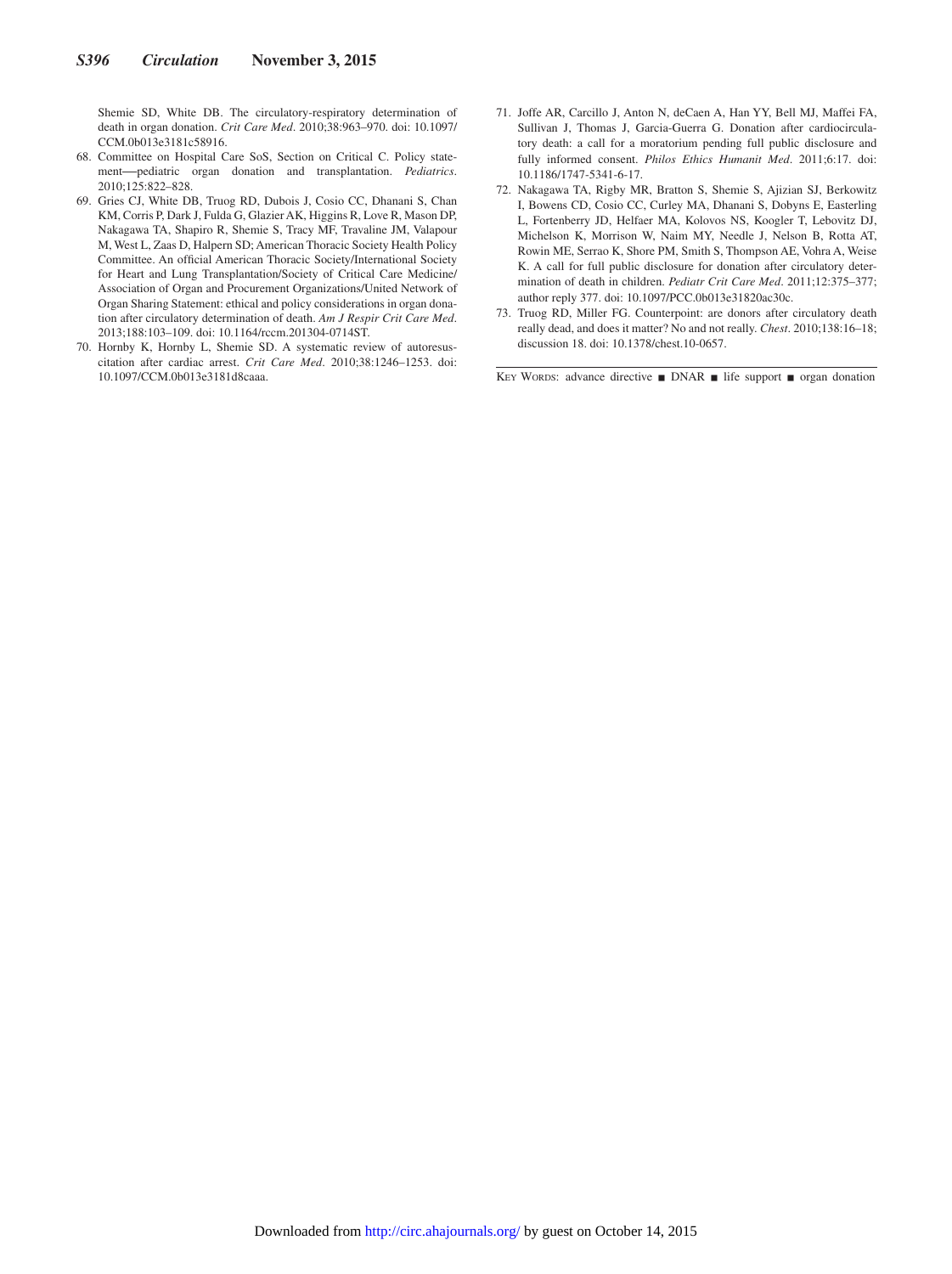Shemie SD, White DB. The circulatory-respiratory determination of death in organ donation. *Crit Care Med*. 2010;38:963–970. doi: 10.1097/ CCM.0b013e3181c58916.

- 68. Committee on Hospital Care SoS, Section on Critical C. Policy statement―pediatric organ donation and transplantation. *Pediatrics*. 2010;125:822–828.
- 69. Gries CJ, White DB, Truog RD, Dubois J, Cosio CC, Dhanani S, Chan KM, Corris P, Dark J, Fulda G, Glazier AK, Higgins R, Love R, Mason DP, Nakagawa TA, Shapiro R, Shemie S, Tracy MF, Travaline JM, Valapour M, West L, Zaas D, Halpern SD; American Thoracic Society Health Policy Committee. An official American Thoracic Society/International Society for Heart and Lung Transplantation/Society of Critical Care Medicine/ Association of Organ and Procurement Organizations/United Network of Organ Sharing Statement: ethical and policy considerations in organ donation after circulatory determination of death. *Am J Respir Crit Care Med*. 2013;188:103–109. doi: 10.1164/rccm.201304-0714ST.
- 70. Hornby K, Hornby L, Shemie SD. A systematic review of autoresuscitation after cardiac arrest. *Crit Care Med*. 2010;38:1246–1253. doi: 10.1097/CCM.0b013e3181d8caaa.
- 71. Joffe AR, Carcillo J, Anton N, deCaen A, Han YY, Bell MJ, Maffei FA, Sullivan J, Thomas J, Garcia-Guerra G. Donation after cardiocirculatory death: a call for a moratorium pending full public disclosure and fully informed consent. *Philos Ethics Humanit Med*. 2011;6:17. doi: 10.1186/1747-5341-6-17.
- 72. Nakagawa TA, Rigby MR, Bratton S, Shemie S, Ajizian SJ, Berkowitz I, Bowens CD, Cosio CC, Curley MA, Dhanani S, Dobyns E, Easterling L, Fortenberry JD, Helfaer MA, Kolovos NS, Koogler T, Lebovitz DJ, Michelson K, Morrison W, Naim MY, Needle J, Nelson B, Rotta AT, Rowin ME, Serrao K, Shore PM, Smith S, Thompson AE, Vohra A, Weise K. A call for full public disclosure for donation after circulatory determination of death in children. *Pediatr Crit Care Med*. 2011;12:375–377; author reply 377. doi: 10.1097/PCC.0b013e31820ac30c.
- 73. Truog RD, Miller FG. Counterpoint: are donors after circulatory death really dead, and does it matter? No and not really. *Chest*. 2010;138:16–18; discussion 18. doi: 10.1378/chest.10-0657.

KEY WORDS: advance directive ■ DNAR ■ life support ■ organ donation